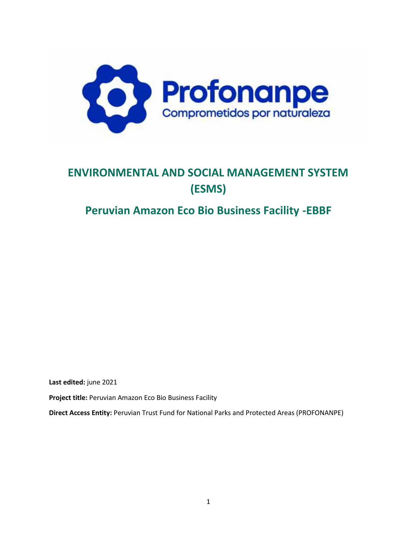

# **ENVIRONMENTAL AND SOCIAL MANAGEMENT SYSTEM (ESMS)**

# **Peruvian Amazon Eco Bio Business Facility -EBBF**

**Last edited:** june 2021

**Project title:** Peruvian Amazon Eco Bio Business Facility

**Direct Access Entity:** Peruvian Trust Fund for National Parks and Protected Areas (PROFONANPE)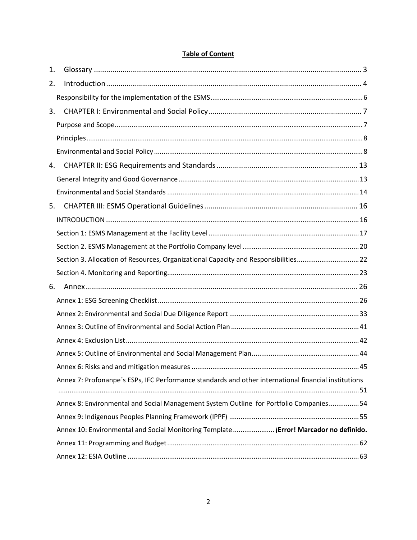| 1. |                                                                                                      |  |
|----|------------------------------------------------------------------------------------------------------|--|
| 2. |                                                                                                      |  |
|    |                                                                                                      |  |
| 3. |                                                                                                      |  |
|    |                                                                                                      |  |
|    |                                                                                                      |  |
|    |                                                                                                      |  |
| 4. |                                                                                                      |  |
|    |                                                                                                      |  |
|    |                                                                                                      |  |
| 5. |                                                                                                      |  |
|    |                                                                                                      |  |
|    |                                                                                                      |  |
|    |                                                                                                      |  |
|    | Section 3. Allocation of Resources, Organizational Capacity and Responsibilities22                   |  |
|    |                                                                                                      |  |
| 6. |                                                                                                      |  |
|    |                                                                                                      |  |
|    |                                                                                                      |  |
|    |                                                                                                      |  |
|    |                                                                                                      |  |
|    |                                                                                                      |  |
|    |                                                                                                      |  |
|    | Annex 7: Profonanpe's ESPs, IFC Performance standards and other international financial institutions |  |
|    | Annex 8: Environmental and Social Management System Outline for Portfolio Companies 54               |  |
|    |                                                                                                      |  |
|    | Annex 10: Environmental and Social Monitoring Template ¡ Error! Marcador no definido.                |  |
|    |                                                                                                      |  |
|    |                                                                                                      |  |

# **Table of Content**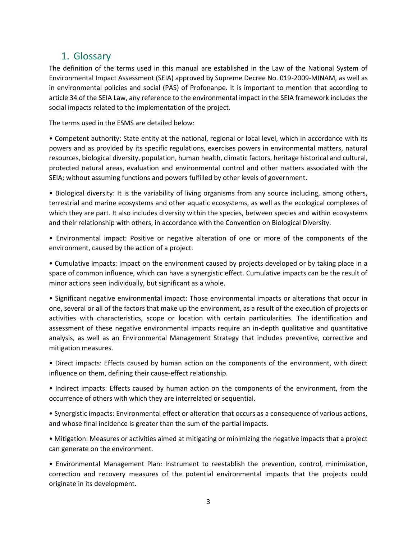# 1. Glossary

The definition of the terms used in this manual are established in the Law of the National System of Environmental Impact Assessment (SEIA) approved by Supreme Decree No. 019-2009-MINAM, as well as in environmental policies and social (PAS) of Profonanpe. It is important to mention that according to article 34 of the SEIA Law, any reference to the environmental impact in the SEIA framework includes the social impacts related to the implementation of the project.

The terms used in the ESMS are detailed below:

• Competent authority: State entity at the national, regional or local level, which in accordance with its powers and as provided by its specific regulations, exercises powers in environmental matters, natural resources, biological diversity, population, human health, climatic factors, heritage historical and cultural, protected natural areas, evaluation and environmental control and other matters associated with the SEIA; without assuming functions and powers fulfilled by other levels of government.

• Biological diversity: It is the variability of living organisms from any source including, among others, terrestrial and marine ecosystems and other aquatic ecosystems, as well as the ecological complexes of which they are part. It also includes diversity within the species, between species and within ecosystems and their relationship with others, in accordance with the Convention on Biological Diversity.

• Environmental impact: Positive or negative alteration of one or more of the components of the environment, caused by the action of a project.

• Cumulative impacts: Impact on the environment caused by projects developed or by taking place in a space of common influence, which can have a synergistic effect. Cumulative impacts can be the result of minor actions seen individually, but significant as a whole.

• Significant negative environmental impact: Those environmental impacts or alterations that occur in one, several or all of the factors that make up the environment, as a result of the execution of projects or activities with characteristics, scope or location with certain particularities. The identification and assessment of these negative environmental impacts require an in-depth qualitative and quantitative analysis, as well as an Environmental Management Strategy that includes preventive, corrective and mitigation measures.

• Direct impacts: Effects caused by human action on the components of the environment, with direct influence on them, defining their cause-effect relationship.

• Indirect impacts: Effects caused by human action on the components of the environment, from the occurrence of others with which they are interrelated or sequential.

• Synergistic impacts: Environmental effect or alteration that occurs as a consequence of various actions, and whose final incidence is greater than the sum of the partial impacts.

• Mitigation: Measures or activities aimed at mitigating or minimizing the negative impacts that a project can generate on the environment.

• Environmental Management Plan: Instrument to reestablish the prevention, control, minimization, correction and recovery measures of the potential environmental impacts that the projects could originate in its development.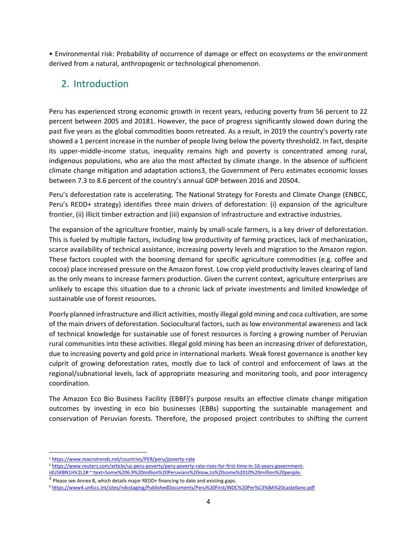• Environmental risk: Probability of occurrence of damage or effect on ecosystems or the environment derived from a natural, anthropogenic or technological phenomenon.

# 2. Introduction

Peru has experienced strong economic growth in recent years, reducing poverty from 56 percent to 22 percent between 2005 and 20181. However, the pace of progress significantly slowed down during the past five years as the global commodities boom retreated. As a result, in 2019 the country's poverty rate showed a 1 percent increase in the number of people living below the poverty threshold2. In fact, despite its upper-middle-income status, inequality remains high and poverty is concentrated among rural, indigenous populations, who are also the most affected by climate change. In the absence of sufficient climate change mitigation and adaptation actions3, the Government of Peru estimates economic losses between 7.3 to 8.6 percent of the country's annual GDP between 2016 and 20504.

Peru's deforestation rate is accelerating. The National Strategy for Forests and Climate Change (ENBCC, Peru's REDD+ strategy) identifies three main drivers of deforestation: (i) expansion of the agriculture frontier, (ii) illicit timber extraction and (iii) expansion of infrastructure and extractive industries.

The expansion of the agriculture frontier, mainly by small-scale farmers, is a key driver of deforestation. This is fueled by multiple factors, including low productivity of farming practices, lack of mechanization, scarce availability of technical assistance, increasing poverty levels and migration to the Amazon region. These factors coupled with the booming demand for specific agriculture commodities (e.g. coffee and cocoa) place increased pressure on the Amazon forest. Low crop yield productivity leaves clearing of land as the only means to increase farmers production. Given the current context, agriculture enterprises are unlikely to escape this situation due to a chronic lack of private investments and limited knowledge of sustainable use of forest resources.

Poorly planned infrastructure and illicit activities, mostly illegal gold mining and coca cultivation, are some of the main drivers of deforestation. Sociocultural factors, such as low environmental awareness and lack of technical knowledge for sustainable use of forest resources is forcing a growing number of Peruvian rural communities into these activities. Illegal gold mining has been an increasing driver of deforestation, due to increasing poverty and gold price in international markets. Weak forest governance is another key culprit of growing deforestation rates, mostly due to lack of control and enforcement of laws at the regional/subnational levels, lack of appropriate measuring and monitoring tools, and poor interagency coordination.

The Amazon Eco Bio Business Facility (EBBF)'s purpose results an effective climate change mitigation outcomes by investing in eco bio businesses (EBBs) supporting the sustainable management and conservation of Peruvian forests. Therefore, the proposed project contributes to shifting the current

<sup>2</sup> https://www.reuters.com/article/us-peru-poverty/peru-poverty-rate-rises-for-first-time-in-16-years-government-

<sup>1</sup> https://www.macrotrends.net/countries/PER/peru/poverty-rate

idUSKBN1HV2L2#:~:text=Some%206.9%20million%20Peruvians%20now,to%20some%2010%20million%20people.

<sup>3</sup> Please see Annex B, which details major REDD+ financing to date and existing gaps.

<sup>4</sup> https://www4.unfccc.int/sites/ndcstaging/PublishedDocuments/Peru%20First/iNDC%20Per%C3%BA%20castellano.pdf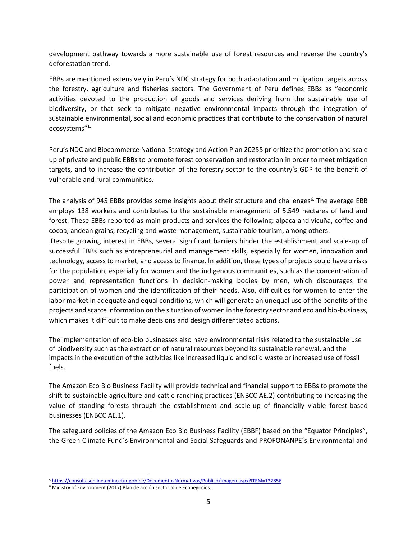development pathway towards a more sustainable use of forest resources and reverse the country's deforestation trend.

EBBs are mentioned extensively in Peru's NDC strategy for both adaptation and mitigation targets across the forestry, agriculture and fisheries sectors. The Government of Peru defines EBBs as "economic activities devoted to the production of goods and services deriving from the sustainable use of biodiversity, or that seek to mitigate negative environmental impacts through the integration of sustainable environmental, social and economic practices that contribute to the conservation of natural ecosystems"1.

Peru's NDC and Biocommerce National Strategy and Action Plan 20255 prioritize the promotion and scale up of private and public EBBs to promote forest conservation and restoration in order to meet mitigation targets, and to increase the contribution of the forestry sector to the country's GDP to the benefit of vulnerable and rural communities.

The analysis of 945 EBBs provides some insights about their structure and challenges<sup>6</sup>. The average EBB employs 138 workers and contributes to the sustainable management of 5,549 hectares of land and forest. These EBBs reported as main products and services the following: alpaca and vicuña, coffee and cocoa, andean grains, recycling and waste management, sustainable tourism, among others.

Despite growing interest in EBBs, several significant barriers hinder the establishment and scale-up of successful EBBs such as entrepreneurial and management skills, especially for women, innovation and technology, access to market, and access to finance. In addition, these types of projects could have o risks for the population, especially for women and the indigenous communities, such as the concentration of power and representation functions in decision-making bodies by men, which discourages the participation of women and the identification of their needs. Also, difficulties for women to enter the labor market in adequate and equal conditions, which will generate an unequal use of the benefits of the projects and scarce information on the situation of women in the forestry sector and eco and bio-business, which makes it difficult to make decisions and design differentiated actions.

The implementation of eco-bio businesses also have environmental risks related to the sustainable use of biodiversity such as the extraction of natural resources beyond its sustainable renewal, and the impacts in the execution of the activities like increased liquid and solid waste or increased use of fossil fuels.

The Amazon Eco Bio Business Facility will provide technical and financial support to EBBs to promote the shift to sustainable agriculture and cattle ranching practices (ENBCC AE.2) contributing to increasing the value of standing forests through the establishment and scale-up of financially viable forest-based businesses (ENBCC AE.1).

The safeguard policies of the Amazon Eco Bio Business Facility (EBBF) based on the "Equator Principles", the Green Climate Fund´s Environmental and Social Safeguards and PROFONANPE´s Environmental and

<sup>5</sup> https://consultasenlinea.mincetur.gob.pe/DocumentosNormativos/Publico/Imagen.aspx?ITEM=132856

<sup>6</sup> Ministry of Environment (2017) Plan de acción sectorial de Econegocios.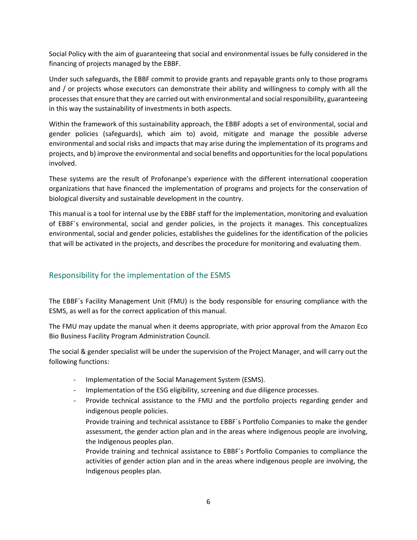Social Policy with the aim of guaranteeing that social and environmental issues be fully considered in the financing of projects managed by the EBBF.

Under such safeguards, the EBBF commit to provide grants and repayable grants only to those programs and / or projects whose executors can demonstrate their ability and willingness to comply with all the processes that ensure that they are carried out with environmental and social responsibility, guaranteeing in this way the sustainability of investments in both aspects.

Within the framework of this sustainability approach, the EBBF adopts a set of environmental, social and gender policies (safeguards), which aim to) avoid, mitigate and manage the possible adverse environmental and social risks and impacts that may arise during the implementation of its programs and projects, and b) improve the environmental and social benefits and opportunities for the local populations involved.

These systems are the result of Profonanpe's experience with the different international cooperation organizations that have financed the implementation of programs and projects for the conservation of biological diversity and sustainable development in the country.

This manual is a tool for internal use by the EBBF staff for the implementation, monitoring and evaluation of EBBF´s environmental, social and gender policies, in the projects it manages. This conceptualizes environmental, social and gender policies, establishes the guidelines for the identification of the policies that will be activated in the projects, and describes the procedure for monitoring and evaluating them.

# Responsibility for the implementation of the ESMS

The EBBF´s Facility Management Unit (FMU) is the body responsible for ensuring compliance with the ESMS, as well as for the correct application of this manual.

The FMU may update the manual when it deems appropriate, with prior approval from the Amazon Eco Bio Business Facility Program Administration Council.

The social & gender specialist will be under the supervision of the Project Manager, and will carry out the following functions:

- Implementation of the Social Management System (ESMS).
- Implementation of the ESG eligibility, screening and due diligence processes.
- Provide technical assistance to the FMU and the portfolio projects regarding gender and indigenous people policies.
	- Provide training and technical assistance to EBBF´s Portfolio Companies to make the gender assessment, the gender action plan and in the areas where indigenous people are involving, the Indigenous peoples plan.

Provide training and technical assistance to EBBF´s Portfolio Companies to compliance the activities of gender action plan and in the areas where indigenous people are involving, the Indigenous peoples plan.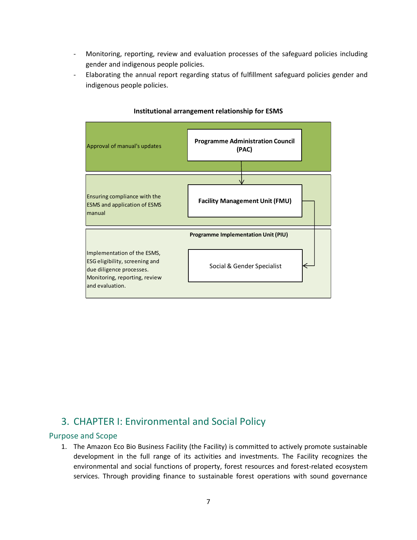- Monitoring, reporting, review and evaluation processes of the safeguard policies including gender and indigenous people policies.
- Elaborating the annual report regarding status of fulfillment safeguard policies gender and indigenous people policies.



#### **Institutional arrangement relationship for ESMS**

# 3. CHAPTER I: Environmental and Social Policy

#### Purpose and Scope

1. The Amazon Eco Bio Business Facility (the Facility) is committed to actively promote sustainable development in the full range of its activities and investments. The Facility recognizes the environmental and social functions of property, forest resources and forest-related ecosystem services. Through providing finance to sustainable forest operations with sound governance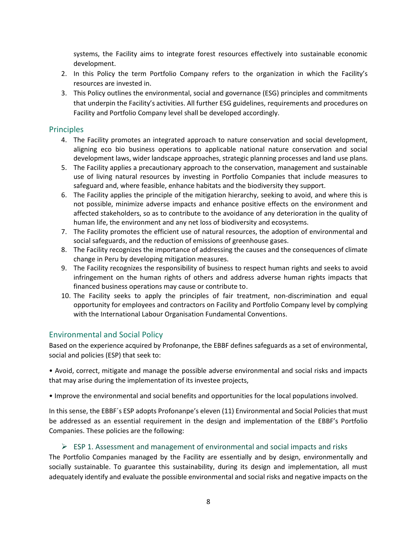systems, the Facility aims to integrate forest resources effectively into sustainable economic development.

- 2. In this Policy the term Portfolio Company refers to the organization in which the Facility's resources are invested in.
- 3. This Policy outlines the environmental, social and governance (ESG) principles and commitments that underpin the Facility's activities. All further ESG guidelines, requirements and procedures on Facility and Portfolio Company level shall be developed accordingly.

## Principles

- 4. The Facility promotes an integrated approach to nature conservation and social development, aligning eco bio business operations to applicable national nature conservation and social development laws, wider landscape approaches, strategic planning processes and land use plans.
- 5. The Facility applies a precautionary approach to the conservation, management and sustainable use of living natural resources by investing in Portfolio Companies that include measures to safeguard and, where feasible, enhance habitats and the biodiversity they support.
- 6. The Facility applies the principle of the mitigation hierarchy, seeking to avoid, and where this is not possible, minimize adverse impacts and enhance positive effects on the environment and affected stakeholders, so as to contribute to the avoidance of any deterioration in the quality of human life, the environment and any net loss of biodiversity and ecosystems.
- 7. The Facility promotes the efficient use of natural resources, the adoption of environmental and social safeguards, and the reduction of emissions of greenhouse gases.
- 8. The Facility recognizes the importance of addressing the causes and the consequences of climate change in Peru by developing mitigation measures.
- 9. The Facility recognizes the responsibility of business to respect human rights and seeks to avoid infringement on the human rights of others and address adverse human rights impacts that financed business operations may cause or contribute to.
- 10. The Facility seeks to apply the principles of fair treatment, non-discrimination and equal opportunity for employees and contractors on Facility and Portfolio Company level by complying with the International Labour Organisation Fundamental Conventions.

## Environmental and Social Policy

Based on the experience acquired by Profonanpe, the EBBF defines safeguards as a set of environmental, social and policies (ESP) that seek to:

• Avoid, correct, mitigate and manage the possible adverse environmental and social risks and impacts that may arise during the implementation of its investee projects,

• Improve the environmental and social benefits and opportunities for the local populations involved.

In this sense, the EBBF´s ESP adopts Profonanpe's eleven (11) Environmental and Social Policies that must be addressed as an essential requirement in the design and implementation of the EBBF's Portfolio Companies. These policies are the following:

## $\triangleright$  ESP 1. Assessment and management of environmental and social impacts and risks

The Portfolio Companies managed by the Facility are essentially and by design, environmentally and socially sustainable. To guarantee this sustainability, during its design and implementation, all must adequately identify and evaluate the possible environmental and social risks and negative impacts on the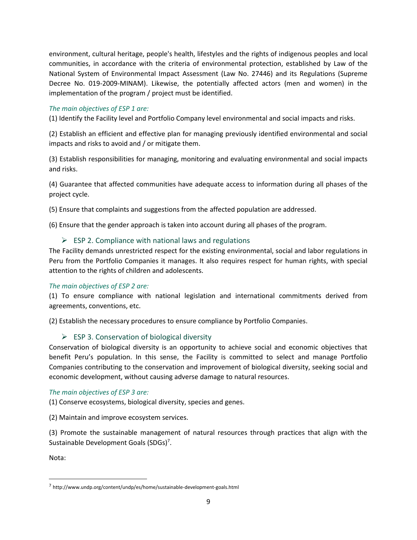environment, cultural heritage, people's health, lifestyles and the rights of indigenous peoples and local communities, in accordance with the criteria of environmental protection, established by Law of the National System of Environmental Impact Assessment (Law No. 27446) and its Regulations (Supreme Decree No. 019-2009-MINAM). Likewise, the potentially affected actors (men and women) in the implementation of the program / project must be identified.

## *The main objectives of ESP 1 are:*

(1) Identify the Facility level and Portfolio Company level environmental and social impacts and risks.

(2) Establish an efficient and effective plan for managing previously identified environmental and social impacts and risks to avoid and / or mitigate them.

(3) Establish responsibilities for managing, monitoring and evaluating environmental and social impacts and risks.

(4) Guarantee that affected communities have adequate access to information during all phases of the project cycle.

(5) Ensure that complaints and suggestions from the affected population are addressed.

(6) Ensure that the gender approach is taken into account during all phases of the program.

## $\triangleright$  ESP 2. Compliance with national laws and regulations

The Facility demands unrestricted respect for the existing environmental, social and labor regulations in Peru from the Portfolio Companies it manages. It also requires respect for human rights, with special attention to the rights of children and adolescents.

## *The main objectives of ESP 2 are:*

(1) To ensure compliance with national legislation and international commitments derived from agreements, conventions, etc.

(2) Establish the necessary procedures to ensure compliance by Portfolio Companies.

## $\triangleright$  ESP 3. Conservation of biological diversity

Conservation of biological diversity is an opportunity to achieve social and economic objectives that benefit Peru's population. In this sense, the Facility is committed to select and manage Portfolio Companies contributing to the conservation and improvement of biological diversity, seeking social and economic development, without causing adverse damage to natural resources.

## *The main objectives of ESP 3 are:*

(1) Conserve ecosystems, biological diversity, species and genes.

(2) Maintain and improve ecosystem services.

(3) Promote the sustainable management of natural resources through practices that align with the Sustainable Development Goals (SDGs)<sup>7</sup>.

Nota:

<sup>7</sup> http://www.undp.org/content/undp/es/home/sustainable-development-goals.html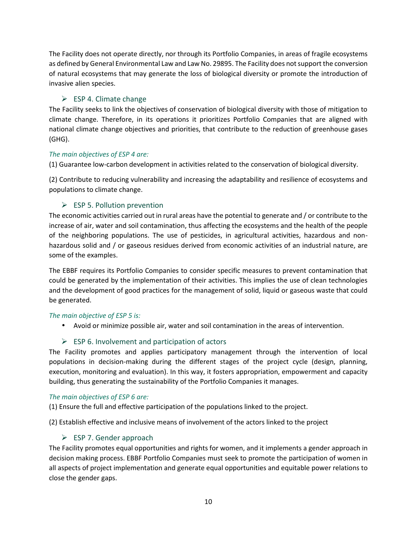The Facility does not operate directly, nor through its Portfolio Companies, in areas of fragile ecosystems as defined by General Environmental Law and Law No. 29895. The Facility does notsupport the conversion of natural ecosystems that may generate the loss of biological diversity or promote the introduction of invasive alien species.

## $\triangleright$  ESP 4. Climate change

The Facility seeks to link the objectives of conservation of biological diversity with those of mitigation to climate change. Therefore, in its operations it prioritizes Portfolio Companies that are aligned with national climate change objectives and priorities, that contribute to the reduction of greenhouse gases (GHG).

## *The main objectives of ESP 4 are:*

(1) Guarantee low-carbon development in activities related to the conservation of biological diversity.

(2) Contribute to reducing vulnerability and increasing the adaptability and resilience of ecosystems and populations to climate change.

## $\triangleright$  ESP 5. Pollution prevention

The economic activities carried out in rural areas have the potential to generate and / or contribute to the increase of air, water and soil contamination, thus affecting the ecosystems and the health of the people of the neighboring populations. The use of pesticides, in agricultural activities, hazardous and non hazardous solid and / or gaseous residues derived from economic activities of an industrial nature, are some of the examples.

The EBBF requires its Portfolio Companies to consider specific measures to prevent contamination that could be generated by the implementation of their activities. This implies the use of clean technologies and the development of good practices for the management of solid, liquid or gaseous waste that could be generated.

## *The main objective of ESP 5 is:*

Avoid or minimize possible air, water and soil contamination in the areas of intervention.

## $\triangleright$  ESP 6. Involvement and participation of actors

The Facility promotes and applies participatory management through the intervention of local populations in decision-making during the different stages of the project cycle (design, planning, execution, monitoring and evaluation). In this way, it fosters appropriation, empowerment and capacity building, thus generating the sustainability of the Portfolio Companies it manages.

#### *The main objectives of ESP 6 are:*

(1) Ensure the full and effective participation of the populations linked to the project.

(2) Establish effective and inclusive means of involvement of the actors linked to the project

## $\triangleright$  ESP 7. Gender approach

The Facility promotes equal opportunities and rights for women, and it implements a gender approach in decision making process. EBBF Portfolio Companies must seek to promote the participation of women in all aspects of project implementation and generate equal opportunities and equitable power relations to close the gender gaps.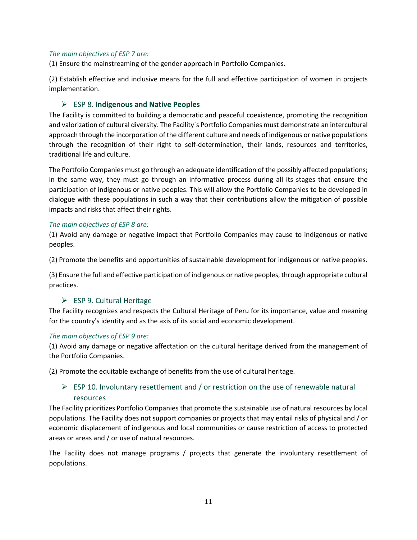#### *The main objectives of ESP 7 are:*

(1) Ensure the mainstreaming of the gender approach in Portfolio Companies.

(2) Establish effective and inclusive means for the full and effective participation of women in projects implementation.

## ESP 8. **Indigenous and Native Peoples**

The Facility is committed to building a democratic and peaceful coexistence, promoting the recognition and valorization of cultural diversity. The Facility´s Portfolio Companies must demonstrate an intercultural approach through the incorporation of the different culture and needs of indigenous or native populations through the recognition of their right to self-determination, their lands, resources and territories, traditional life and culture.

The Portfolio Companies must go through an adequate identification of the possibly affected populations; in the same way, they must go through an informative process during all its stages that ensure the participation of indigenous or native peoples. This will allow the Portfolio Companies to be developed in dialogue with these populations in such a way that their contributions allow the mitigation of possible impacts and risks that affect their rights.

#### *The main objectives of ESP 8 are:*

(1) Avoid any damage or negative impact that Portfolio Companies may cause to indigenous or native peoples.

(2) Promote the benefits and opportunities of sustainable development for indigenous or native peoples.

(3) Ensure the full and effective participation of indigenous or native peoples, through appropriate cultural practices.

## $\triangleright$  ESP 9. Cultural Heritage

The Facility recognizes and respects the Cultural Heritage of Peru for its importance, value and meaning for the country's identity and as the axis of its social and economic development.

#### *The main objectives of ESP 9 are:*

(1) Avoid any damage or negative affectation on the cultural heritage derived from the management of the Portfolio Companies.

(2) Promote the equitable exchange of benefits from the use of cultural heritage.

# $\triangleright$  ESP 10. Involuntary resettlement and / or restriction on the use of renewable natural resources

The Facility prioritizes Portfolio Companies that promote the sustainable use of natural resources by local populations. The Facility does not support companies or projects that may entail risks of physical and / or economic displacement of indigenous and local communities or cause restriction of access to protected areas or areas and / or use of natural resources.

The Facility does not manage programs / projects that generate the involuntary resettlement of populations.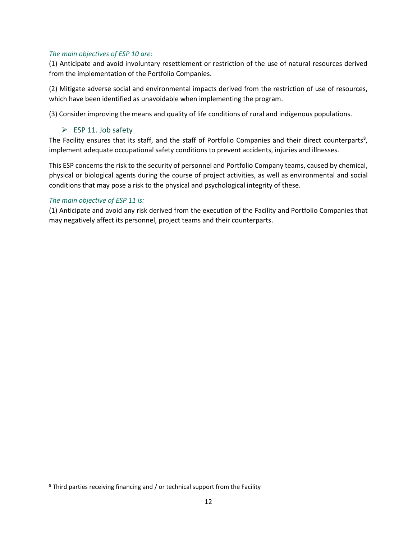#### *The main objectives of ESP 10 are:*

(1) Anticipate and avoid involuntary resettlement or restriction of the use of natural resources derived from the implementation of the Portfolio Companies.

(2) Mitigate adverse social and environmental impacts derived from the restriction of use of resources, which have been identified as unavoidable when implementing the program.

(3) Consider improving the means and quality of life conditions of rural and indigenous populations.

## $\triangleright$  ESP 11. Job safety

The Facility ensures that its staff, and the staff of Portfolio Companies and their direct counterparts<sup>8</sup>, implement adequate occupational safety conditions to prevent accidents, injuries and illnesses.

This ESP concerns the risk to the security of personnel and Portfolio Company teams, caused by chemical, physical or biological agents during the course of project activities, as well as environmental and social conditions that may pose a risk to the physical and psychological integrity of these.

## *The main objective of ESP 11 is:*

(1) Anticipate and avoid any risk derived from the execution of the Facility and Portfolio Companies that may negatively affect its personnel, project teams and their counterparts.

<sup>&</sup>lt;sup>8</sup> Third parties receiving financing and / or technical support from the Facility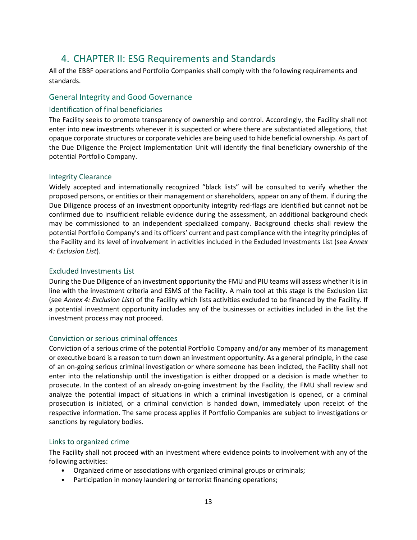# 4. CHAPTER II: ESG Requirements and Standards

All of the EBBF operations and Portfolio Companies shall comply with the following requirements and standards.

## General Integrity and Good Governance

#### Identification of final beneficiaries

The Facility seeks to promote transparency of ownership and control. Accordingly, the Facility shall not enter into new investments whenever it is suspected or where there are substantiated allegations, that opaque corporate structures or corporate vehicles are being used to hide beneficial ownership. As part of the Due Diligence the Project Implementation Unit will identify the final beneficiary ownership of the potential Portfolio Company.

#### Integrity Clearance

Widely accepted and internationally recognized "black lists" will be consulted to verify whether the proposed persons, or entities or their management or shareholders, appear on any of them. If during the Due Diligence process of an investment opportunity integrity red-flags are identified but cannot not be confirmed due to insufficient reliable evidence during the assessment, an additional background check may be commissioned to an independent specialized company. Background checks shall review the potential Portfolio Company's and its officers' current and past compliance with the integrity principles of the Facility and its level of involvement in activities included in the Excluded Investments List (see *Annex 4: Exclusion List*).

#### Excluded Investments List

During the Due Diligence of an investment opportunity the FMU and PIU teams will assess whether it is in line with the investment criteria and ESMS of the Facility. A main tool at this stage is the Exclusion List (see *Annex 4: Exclusion List*) of the Facility which lists activities excluded to be financed by the Facility. If a potential investment opportunity includes any of the businesses or activities included in the list the investment process may not proceed.

#### Conviction or serious criminal offences

Conviction of a serious crime of the potential Portfolio Company and/or any member of its management or executive board is a reason to turn down an investment opportunity. As a general principle, in the case of an on-going serious criminal investigation or where someone has been indicted, the Facility shall not enter into the relationship until the investigation is either dropped or a decision is made whether to prosecute. In the context of an already on-going investment by the Facility, the FMU shall review and analyze the potential impact of situations in which a criminal investigation is opened, or a criminal prosecution is initiated, or a criminal conviction is handed down, immediately upon receipt of the respective information. The same process applies if Portfolio Companies are subject to investigations or sanctions by regulatory bodies.

#### Links to organized crime

The Facility shall not proceed with an investment where evidence points to involvement with any of the following activities:

- Organized crime or associations with organized criminal groups or criminals;
- Participation in money laundering or terrorist financing operations;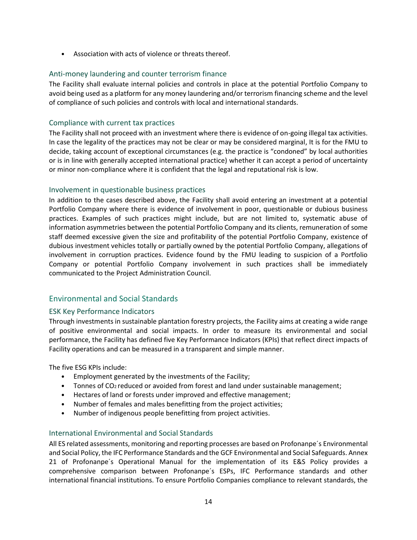• Association with acts of violence or threats thereof.

#### Anti-money laundering and counter terrorism finance

The Facility shall evaluate internal policies and controls in place at the potential Portfolio Company to avoid being used as a platform for any money laundering and/or terrorism financing scheme and the level of compliance of such policies and controls with local and international standards.

#### Compliance with current tax practices

The Facility shall not proceed with an investment where there is evidence of on-going illegal tax activities. In case the legality of the practices may not be clear or may be considered marginal, It is for the FMU to decide, taking account of exceptional circumstances (e.g. the practice is "condoned" by local authorities or is in line with generally accepted international practice) whether it can accept a period of uncertainty or minor non-compliance where it is confident that the legal and reputational risk is low.

#### Involvement in questionable business practices

In addition to the cases described above, the Facility shall avoid entering an investment at a potential Portfolio Company where there is evidence of involvement in poor, questionable or dubious business practices. Examples of such practices might include, but are not limited to, systematic abuse of information asymmetries between the potential Portfolio Company and its clients, remuneration of some staff deemed excessive given the size and profitability of the potential Portfolio Company, existence of dubious investment vehicles totally or partially owned by the potential Portfolio Company, allegations of involvement in corruption practices. Evidence found by the FMU leading to suspicion of a Portfolio Company or potential Portfolio Company involvement in such practices shall be immediately communicated to the Project Administration Council.

## Environmental and Social Standards

## ESK Key Performance Indicators

Through investments in sustainable plantation forestry projects, the Facility aims at creating a wide range of positive environmental and social impacts. In order to measure its environmental and social performance, the Facility has defined five Key Performance Indicators (KPIs) that reflect direct impacts of Facility operations and can be measured in a transparent and simple manner.

The five ESG KPIs include:

- Employment generated by the investments of the Facility;
- Tonnes of CO<sub>2</sub> reduced or avoided from forest and land under sustainable management;
- Hectares of land or forests under improved and effective management;
- Number of females and males benefitting from the project activities;
- Number of indigenous people benefitting from project activities.

## International Environmental and Social Standards

All ES related assessments, monitoring and reporting processes are based on Profonanpe´s Environmental and Social Policy, the IFC Performance Standards and the GCF Environmental and Social Safeguards. Annex 21 of Profonanpe´s Operational Manual for the implementation of its E&S Policy provides a comprehensive comparison between Profonanpe´s ESPs, IFC Performance standards and other international financial institutions. To ensure Portfolio Companies compliance to relevant standards, the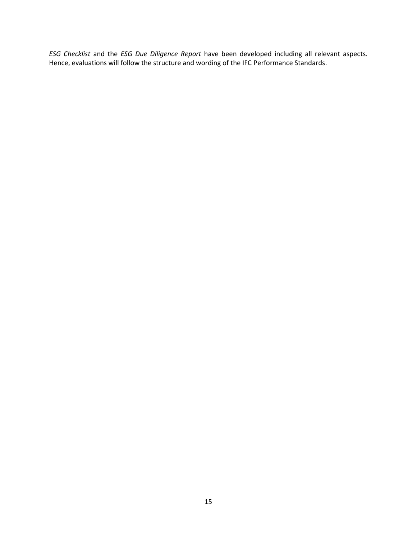*ESG Checklist* and the *ESG Due Diligence Report* have been developed including all relevant aspects. Hence, evaluations will follow the structure and wording of the IFC Performance Standards.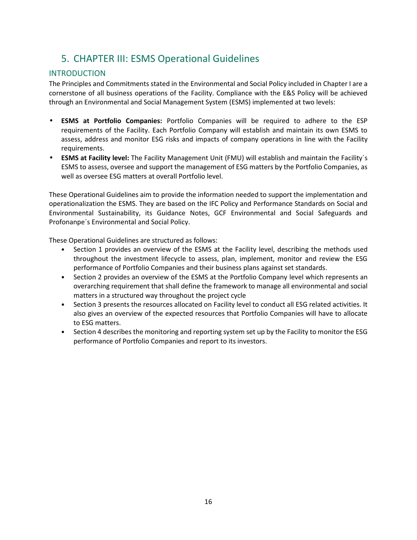# 5. CHAPTER III: ESMS Operational Guidelines

# INTRODUCTION

The Principles and Commitments stated in the Environmental and Social Policy included in Chapter I are a cornerstone of all business operations of the Facility. Compliance with the E&S Policy will be achieved through an Environmental and Social Management System (ESMS) implemented at two levels:

- **ESMS at Portfolio Companies:** Portfolio Companies will be required to adhere to the ESP requirements of the Facility. Each Portfolio Company will establish and maintain its own ESMS to assess, address and monitor ESG risks and impacts of company operations in line with the Facility requirements.
- **ESMS at Facility level:** The Facility Management Unit (FMU) will establish and maintain the Facility´s ESMS to assess, oversee and support the management of ESG matters by the Portfolio Companies, as well as oversee ESG matters at overall Portfolio level.

These Operational Guidelines aim to provide the information needed to support the implementation and operationalization the ESMS. They are based on the IFC Policy and Performance Standards on Social and Environmental Sustainability, its Guidance Notes, GCF Environmental and Social Safeguards and Profonanpe´s Environmental and Social Policy.

These Operational Guidelines are structured as follows:

- Section 1 provides an overview of the ESMS at the Facility level, describing the methods used throughout the investment lifecycle to assess, plan, implement, monitor and review the ESG performance of Portfolio Companies and their business plans against set standards.
- Section 2 provides an overview of the ESMS at the Portfolio Company level which represents an overarching requirement that shall define the framework to manage all environmental and social matters in a structured way throughout the project cycle
- Section 3 presents the resources allocated on Facility level to conduct all ESG related activities. It also gives an overview of the expected resources that Portfolio Companies will have to allocate to ESG matters.
- Section 4 describes the monitoring and reporting system set up by the Facility to monitor the ESG performance of Portfolio Companies and report to its investors.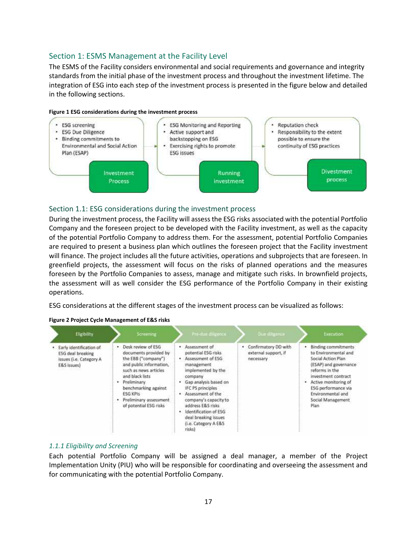# Section 1: ESMS Management at the Facility Level

The ESMS of the Facility considers environmental and social requirements and governance and integrity standards from the initial phase of the investment process and throughout the investment lifetime. The integration of ESG into each step of the investment process is presented in the figure below and detailed in the following sections.



#### Section 1.1: ESG considerations during the investment process

During the investment process, the Facility will assess the ESG risks associated with the potential Portfolio Company and the foreseen project to be developed with the Facility investment, as well as the capacity of the potential Portfolio Company to address them. For the assessment, potential Portfolio Companies are required to present a business plan which outlines the foreseen project that the Facility investment will finance. The project includes all the future activities, operations and subprojects that are foreseen. In greenfield projects, the assessment will focus on the risks of planned operations and the measures foreseen by the Portfolio Companies to assess, manage and mitigate such risks. In brownfield projects, the assessment will as well consider the ESG performance of the Portfolio Company in their existing operations.

ESG considerations at the different stages of the investment process can be visualized as follows:

| Eligibility                                                                                        | Screening                                                                                                                                                                                                                                                   | Pre-due diligence                                                                                                                                                                                                                                                                                                | Due diligence                                             | <b>Execution</b>                                                                                                                                                                                                                            |
|----------------------------------------------------------------------------------------------------|-------------------------------------------------------------------------------------------------------------------------------------------------------------------------------------------------------------------------------------------------------------|------------------------------------------------------------------------------------------------------------------------------------------------------------------------------------------------------------------------------------------------------------------------------------------------------------------|-----------------------------------------------------------|---------------------------------------------------------------------------------------------------------------------------------------------------------------------------------------------------------------------------------------------|
| Early identification of<br>٠<br><b>ESG</b> deal breaking<br>issues (i.e. Category A<br>E&S issues) | • Desk review of ESG<br>documents provided by<br>the EBB ("company")<br>and public information.<br>such as news articles<br>and black lists<br>· Preliminary<br>benchmarking against<br><b>ESG KPIs</b><br>Preliminary assessment<br>of potential ESG risks | · Assessment of<br>potential ESG risks<br>Assessment of ESG<br>management<br>implemented by the<br>company<br>Gap analysis based on<br>IFC PS principles<br>. Assessment of the<br>company's capacity to<br>address E&S risks<br>Identification of ESG<br>deal breaking issues<br>(i.e. Category A E&S<br>risks) | Confirmatory DD with<br>external support, if<br>necessary | <b>Binding commitments</b><br>to Environmental and<br>Social Action Plan<br>(ESAP) and governance<br>reforms in the<br>investment contract<br>Active monitoring of<br>ESG performance via<br>Environmental and<br>Social Management<br>Plan |

#### **Figure 2 Project Cycle Management of E&S risks**

## *1.1.1 Eligibility and Screening*

Each potential Portfolio Company will be assigned a deal manager, a member of the Project Implementation Unity (PIU) who will be responsible for coordinating and overseeing the assessment and for communicating with the potential Portfolio Company.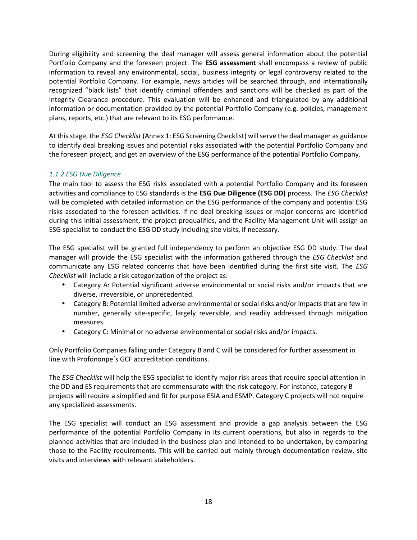During eligibility and screening the deal manager will assess general information about the potential Portfolio Company and the foreseen project. The **ESG assessment** shall encompass a review of public information to reveal any environmental, social, business integrity or legal controversy related to the potential Portfolio Company. For example, news articles will be searched through, and internationally recognized "black lists" that identify criminal offenders and sanctions will be checked as part of the Integrity Clearance procedure. This evaluation will be enhanced and triangulated by any additional information or documentation provided by the potential Portfolio Company (e.g. policies, management plans, reports, etc.) that are relevant to its ESG performance.

At this stage, the *ESG Checklist* (Annex 1: ESG Screening Checklist) will serve the deal manager as guidance to identify deal breaking issues and potential risks associated with the potential Portfolio Company and the foreseen project, and get an overview of the ESG performance of the potential Portfolio Company.

#### *1.1.2 ESG Due Diligence*

The main tool to assess the ESG risks associated with a potential Portfolio Company and its foreseen activities and compliance to ESG standards is the **ESG Due Diligence (ESG DD)** process. The *ESG Checklist* will be completed with detailed information on the ESG performance of the company and potential ESG risks associated to the foreseen activities. If no deal breaking issues or major concerns are identified during this initial assessment, the project prequalifies, and the Facility Management Unit will assign an ESG specialist to conduct the ESG DD study including site visits, if necessary.

The ESG specialist will be granted full independency to perform an objective ESG DD study. The deal manager will provide the ESG specialist with the information gathered through the *ESG Checklist* and communicate any ESG related concerns that have been identified during the first site visit. The *ESG Checklist* will include a risk categorization of the project as:

- Category A: Potential significant adverse environmental or social risks and/or impacts that are diverse, irreversible, or unprecedented.
- Category B: Potential limited adverse environmental or social risks and/or impacts that are few in number, generally site-specific, largely reversible, and readily addressed through mitigation measures.
- Category C: Minimal or no adverse environmental or social risks and/or impacts.

Only Portfolio Companies falling under Category B and C will be considered for further assessment in line with Profononpe´s GCF accreditation conditions.

The *ESG Checklist* will help the ESG specialist to identify major risk areas that require special attention in the DD and ES requirements that are commensurate with the risk category. For instance, category B projects will require a simplified and fit for purpose ESIA and ESMP. Category C projects will not require any specialized assessments.

The ESG specialist will conduct an ESG assessment and provide a gap analysis between the ESG performance of the potential Portfolio Company in its current operations, but also in regards to the planned activities that are included in the business plan and intended to be undertaken, by comparing those to the Facility requirements. This will be carried out mainly through documentation review, site visits and interviews with relevant stakeholders.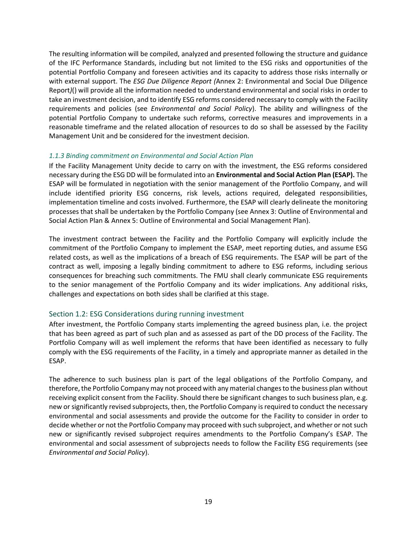The resulting information will be compiled, analyzed and presented following the structure and guidance of the IFC Performance Standards, including but not limited to the ESG risks and opportunities of the potential Portfolio Company and foreseen activities and its capacity to address those risks internally or with external support. The *ESG Due Diligence Report (*Annex 2: Environmental and Social Due Diligence Report*)*() will provide all the information needed to understand environmental and social risks in order to take an investment decision, and to identify ESG reforms considered necessary to comply with the Facility requirements and policies (see *Environmental and Social Policy*). The ability and willingness of the potential Portfolio Company to undertake such reforms, corrective measures and improvements in a reasonable timeframe and the related allocation of resources to do so shall be assessed by the Facility Management Unit and be considered for the investment decision.

#### *1.1.3 Binding commitment on Environmental and Social Action Plan*

If the Facility Management Unity decide to carry on with the investment, the ESG reforms considered necessary during the ESG DD will be formulated into an **Environmental and Social Action Plan (ESAP).** The ESAP will be formulated in negotiation with the senior management of the Portfolio Company, and will include identified priority ESG concerns, risk levels, actions required, delegated responsibilities, implementation timeline and costs involved. Furthermore, the ESAP will clearly delineate the monitoring processes that shall be undertaken by the Portfolio Company (see Annex 3: Outline of Environmental and Social Action Plan & Annex 5: Outline of Environmental and Social Management Plan).

The investment contract between the Facility and the Portfolio Company will explicitly include the commitment of the Portfolio Company to implement the ESAP, meet reporting duties, and assume ESG related costs, as well as the implications of a breach of ESG requirements. The ESAP will be part of the contract as well, imposing a legally binding commitment to adhere to ESG reforms, including serious consequences for breaching such commitments. The FMU shall clearly communicate ESG requirements to the senior management of the Portfolio Company and its wider implications. Any additional risks, challenges and expectations on both sides shall be clarified at this stage.

## Section 1.2: ESG Considerations during running investment

After investment, the Portfolio Company starts implementing the agreed business plan, i.e. the project that has been agreed as part of such plan and as assessed as part of the DD process of the Facility. The Portfolio Company will as well implement the reforms that have been identified as necessary to fully comply with the ESG requirements of the Facility, in a timely and appropriate manner as detailed in the ESAP.

The adherence to such business plan is part of the legal obligations of the Portfolio Company, and therefore, the Portfolio Company may not proceed with any material changes to the business plan without receiving explicit consent from the Facility. Should there be significant changes to such business plan, e.g. new or significantly revised subprojects, then, the Portfolio Company is required to conduct the necessary environmental and social assessments and provide the outcome for the Facility to consider in order to decide whether or not the Portfolio Company may proceed with such subproject, and whether or not such new or significantly revised subproject requires amendments to the Portfolio Company's ESAP. The environmental and social assessment of subprojects needs to follow the Facility ESG requirements (see *Environmental and Social Policy*).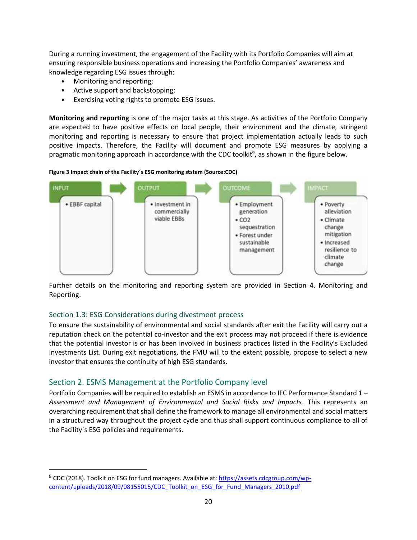During a running investment, the engagement of the Facility with its Portfolio Companies will aim at ensuring responsible business operations and increasing the Portfolio Companies' awareness and knowledge regarding ESG issues through:

- Monitoring and reporting;
- Active support and backstopping;
- Exercising voting rights to promote ESG issues.

**Monitoring and reporting** is one of the major tasks at this stage. As activities of the Portfolio Company are expected to have positive effects on local people, their environment and the climate, stringent monitoring and reporting is necessary to ensure that project implementation actually leads to such positive impacts. Therefore, the Facility will document and promote ESG measures by applying a pragmatic monitoring approach in accordance with the CDC toolkit<sup>9</sup>, as shown in the figure below.





Further details on the monitoring and reporting system are provided in Section 4. Monitoring and Reporting.

#### Section 1.3: ESG Considerations during divestment process

To ensure the sustainability of environmental and social standards after exit the Facility will carry out a reputation check on the potential co-investor and the exit process may not proceed if there is evidence that the potential investor is or has been involved in business practices listed in the Facility's Excluded Investments List. During exit negotiations, the FMU will to the extent possible, propose to select a new investor that ensures the continuity of high ESG standards.

## Section 2. ESMS Management at the Portfolio Company level

Portfolio Companies will be required to establish an ESMS in accordance to IFC Performance Standard 1 – *Assessment and Management of Environmental and Social Risks and Impacts*. This represents an overarching requirement that shall define the framework to manage all environmental and social matters in a structured way throughout the project cycle and thus shall support continuous compliance to all of the Facility´s ESG policies and requirements.

<sup>&</sup>lt;sup>9</sup> CDC (2018). Toolkit on ESG for fund managers. Available at: https://assets.cdcgroup.com/wpcontent/uploads/2018/09/08155015/CDC\_Toolkit\_on\_ESG\_for\_Fund\_Managers\_2010.pdf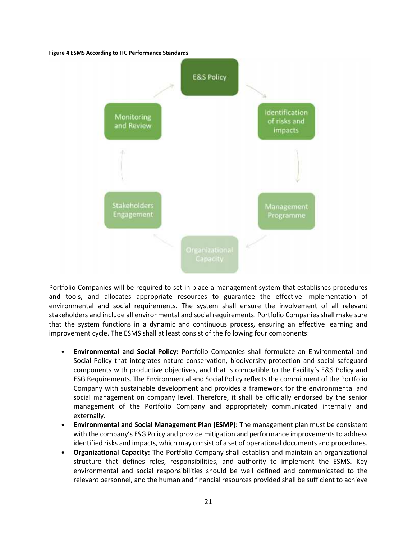#### **Figure 4 ESMS According to IFC Performance Standards**



Portfolio Companies will be required to set in place a management system that establishes procedures and tools, and allocates appropriate resources to guarantee the effective implementation of environmental and social requirements. The system shall ensure the involvement of all relevant stakeholders and include all environmental and social requirements. Portfolio Companies shall make sure that the system functions in a dynamic and continuous process, ensuring an effective learning and improvement cycle. The ESMS shall at least consist of the following four components:

- **Environmental and Social Policy:** Portfolio Companies shall formulate an Environmental and Social Policy that integrates nature conservation, biodiversity protection and social safeguard components with productive objectives, and that is compatible to the Facility´s E&S Policy and ESG Requirements. The Environmental and Social Policy reflects the commitment of the Portfolio Company with sustainable development and provides a framework for the environmental and social management on company level. Therefore, it shall be officially endorsed by the senior management of the Portfolio Company and appropriately communicated internally and externally.
- **Environmental and Social Management Plan (ESMP):** The management plan must be consistent with the company's ESG Policy and provide mitigation and performance improvements to address identified risks and impacts, which may consist of a set of operational documents and procedures.
- **Organizational Capacity:** The Portfolio Company shall establish and maintain an organizational structure that defines roles, responsibilities, and authority to implement the ESMS. Key environmental and social responsibilities should be well defined and communicated to the relevant personnel, and the human and financial resources provided shall be sufficient to achieve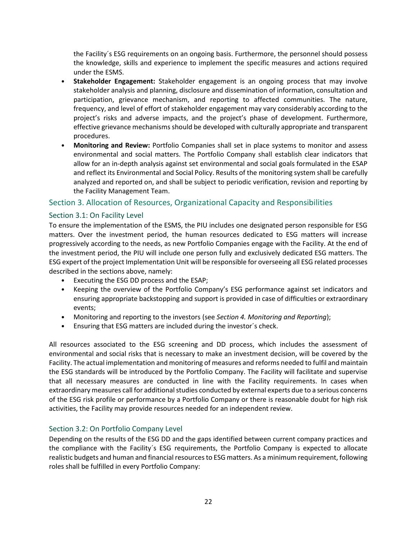the Facility´s ESG requirements on an ongoing basis. Furthermore, the personnel should possess the knowledge, skills and experience to implement the specific measures and actions required under the ESMS.

- **Stakeholder Engagement:** Stakeholder engagement is an ongoing process that may involve stakeholder analysis and planning, disclosure and dissemination of information, consultation and participation, grievance mechanism, and reporting to affected communities. The nature, frequency, and level of effort of stakeholder engagement may vary considerably according to the project's risks and adverse impacts, and the project's phase of development. Furthermore, effective grievance mechanisms should be developed with culturally appropriate and transparent procedures.
- **Monitoring and Review:** Portfolio Companies shall set in place systems to monitor and assess environmental and social matters. The Portfolio Company shall establish clear indicators that allow for an in-depth analysis against set environmental and social goals formulated in the ESAP and reflect its Environmental and Social Policy. Results of the monitoring system shall be carefully analyzed and reported on, and shall be subject to periodic verification, revision and reporting by the Facility Management Team.

## Section 3. Allocation of Resources, Organizational Capacity and Responsibilities

## Section 3.1: On Facility Level

To ensure the implementation of the ESMS, the PIU includes one designated person responsible for ESG matters. Over the investment period, the human resources dedicated to ESG matters will increase progressively according to the needs, as new Portfolio Companies engage with the Facility. At the end of the investment period, the PIU will include one person fully and exclusively dedicated ESG matters. The ESG expert of the project Implementation Unit will be responsible for overseeing all ESG related processes described in the sections above, namely:

- Executing the ESG DD process and the ESAP;
- Keeping the overview of the Portfolio Company's ESG performance against set indicators and ensuring appropriate backstopping and support is provided in case of difficulties or extraordinary events;
- Monitoring and reporting to the investors (see *Section 4. Monitoring and Reporting*);
- Ensuring that ESG matters are included during the investor´s check.

All resources associated to the ESG screening and DD process, which includes the assessment of environmental and social risks that is necessary to make an investment decision, will be covered by the Facility. The actual implementation and monitoring of measures and reforms needed to fulfil and maintain the ESG standards will be introduced by the Portfolio Company. The Facility will facilitate and supervise that all necessary measures are conducted in line with the Facility requirements. In cases when extraordinary measures call for additional studies conducted by external experts due to a serious concerns of the ESG risk profile or performance by a Portfolio Company or there is reasonable doubt for high risk activities, the Facility may provide resources needed for an independent review.

## Section 3.2: On Portfolio Company Level

Depending on the results of the ESG DD and the gaps identified between current company practices and the compliance with the Facility´s ESG requirements, the Portfolio Company is expected to allocate realistic budgets and human and financial resources to ESG matters. As a minimum requirement, following roles shall be fulfilled in every Portfolio Company: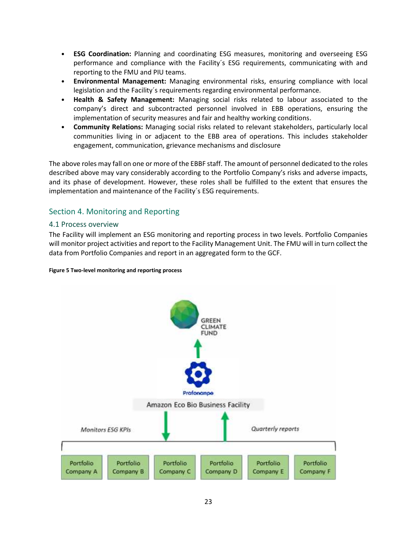- **ESG Coordination:** Planning and coordinating ESG measures, monitoring and overseeing ESG performance and compliance with the Facility´s ESG requirements, communicating with and reporting to the FMU and PIU teams.
- **Environmental Management:** Managing environmental risks, ensuring compliance with local legislation and the Facility´s requirements regarding environmental performance.
- **Health & Safety Management:** Managing social risks related to labour associated to the company's direct and subcontracted personnel involved in EBB operations, ensuring the implementation of security measures and fair and healthy working conditions.
- **Community Relations:** Managing social risks related to relevant stakeholders, particularly local communities living in or adjacent to the EBB area of operations. This includes stakeholder engagement, communication, grievance mechanisms and disclosure

The above roles may fall on one or more of the EBBF staff. The amount of personnel dedicated to the roles described above may vary considerably according to the Portfolio Company's risks and adverse impacts, and its phase of development. However, these roles shall be fulfilled to the extent that ensures the implementation and maintenance of the Facility´s ESG requirements.

# Section 4. Monitoring and Reporting

## 4.1 Process overview

The Facility will implement an ESG monitoring and reporting process in two levels. Portfolio Companies will monitor project activities and report to the Facility Management Unit. The FMU will in turn collect the data from Portfolio Companies and report in an aggregated form to the GCF.

#### **Figure 5 Two-level monitoring and reporting process**

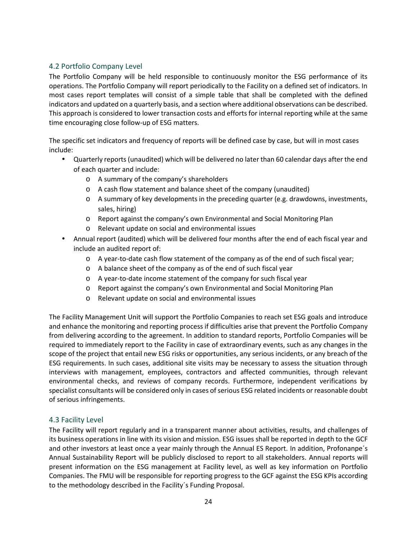## 4.2 Portfolio Company Level

The Portfolio Company will be held responsible to continuously monitor the ESG performance of its operations. The Portfolio Company will report periodically to the Facility on a defined set of indicators. In most cases report templates will consist of a simple table that shall be completed with the defined indicators and updated on a quarterly basis, and a section where additional observations can be described. This approach is considered to lower transaction costs and efforts for internal reporting while at the same time encouraging close follow-up of ESG matters.

The specific set indicators and frequency of reports will be defined case by case, but will in most cases include:

- Quarterly reports (unaudited) which will be delivered no later than 60 calendar days after the end of each quarter and include:
	- o A summary of the company's shareholders
	- o A cash flow statement and balance sheet of the company (unaudited)
	- o A summary of key developments in the preceding quarter (e.g. drawdowns, investments, sales, hiring)
	- o Report against the company's own Environmental and Social Monitoring Plan
	- o Relevant update on social and environmental issues
- Annual report (audited) which will be delivered four months after the end of each fiscal year and include an audited report of:
	- o A year-to-date cash flow statement of the company as of the end of such fiscal year;
	- o A balance sheet of the company as of the end of such fiscal year
	- o A year-to-date income statement of the company for such fiscal year
	- o Report against the company's own Environmental and Social Monitoring Plan
	- o Relevant update on social and environmental issues

The Facility Management Unit will support the Portfolio Companies to reach set ESG goals and introduce and enhance the monitoring and reporting process if difficulties arise that prevent the Portfolio Company from delivering according to the agreement. In addition to standard reports, Portfolio Companies will be required to immediately report to the Facility in case of extraordinary events, such as any changes in the scope of the project that entail new ESG risks or opportunities, any serious incidents, or any breach of the ESG requirements. In such cases, additional site visits may be necessary to assess the situation through interviews with management, employees, contractors and affected communities, through relevant environmental checks, and reviews of company records. Furthermore, independent verifications by specialist consultants will be considered only in cases of serious ESG related incidents or reasonable doubt of serious infringements.

## 4.3 Facility Level

The Facility will report regularly and in a transparent manner about activities, results, and challenges of its business operations in line with its vision and mission. ESG issues shall be reported in depth to the GCF and other investors at least once a year mainly through the Annual ES Report. In addition, Profonanpe´s Annual Sustainability Report will be publicly disclosed to report to all stakeholders. Annual reports will present information on the ESG management at Facility level, as well as key information on Portfolio Companies. The FMU will be responsible for reporting progress to the GCF against the ESG KPIs according to the methodology described in the Facility´s Funding Proposal.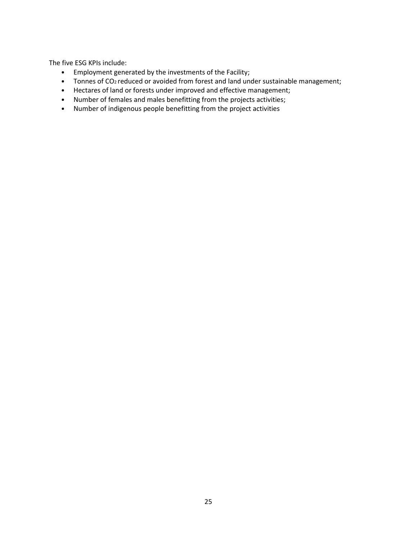The five ESG KPIs include:

- Employment generated by the investments of the Facility;
- Tonnes of CO<sup>2</sup> reduced or avoided from forest and land under sustainable management;
- Hectares of land or forests under improved and effective management;
- Number of females and males benefitting from the projects activities;
- Number of indigenous people benefitting from the project activities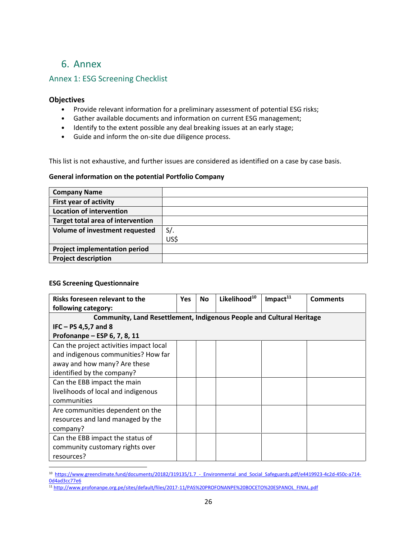# 6. Annex

# Annex 1: ESG Screening Checklist

#### **Objectives**

- Provide relevant information for a preliminary assessment of potential ESG risks;
- Gather available documents and information on current ESG management;
- Identify to the extent possible any deal breaking issues at an early stage;
- Guide and inform the on-site due diligence process.

This list is not exhaustive, and further issues are considered as identified on a case by case basis.

#### **General information on the potential Portfolio Company**

| <b>Company Name</b>                      |        |
|------------------------------------------|--------|
| <b>First year of activity</b>            |        |
| <b>Location of intervention</b>          |        |
| <b>Target total area of intervention</b> |        |
| Volume of investment requested           | $S/$ . |
|                                          | US\$   |
| <b>Project implementation period</b>     |        |
| <b>Project description</b>               |        |

#### **ESG Screening Questionnaire**

| Risks foreseen relevant to the                                               | <b>Yes</b> | <b>No</b> | Likelihood <sup>10</sup> | Impact $^{11}$ | <b>Comments</b> |  |
|------------------------------------------------------------------------------|------------|-----------|--------------------------|----------------|-----------------|--|
| following category:                                                          |            |           |                          |                |                 |  |
| <b>Community, Land Resettlement, Indigenous People and Cultural Heritage</b> |            |           |                          |                |                 |  |
| $IFC - PS 4, 5, 7$ and 8                                                     |            |           |                          |                |                 |  |
| Profonanpe – ESP 6, 7, 8, 11                                                 |            |           |                          |                |                 |  |
| Can the project activities impact local                                      |            |           |                          |                |                 |  |
| and indigenous communities? How far                                          |            |           |                          |                |                 |  |
| away and how many? Are these                                                 |            |           |                          |                |                 |  |
| identified by the company?                                                   |            |           |                          |                |                 |  |
| Can the EBB impact the main                                                  |            |           |                          |                |                 |  |
| livelihoods of local and indigenous                                          |            |           |                          |                |                 |  |
| communities                                                                  |            |           |                          |                |                 |  |
| Are communities dependent on the                                             |            |           |                          |                |                 |  |
| resources and land managed by the                                            |            |           |                          |                |                 |  |
| company?                                                                     |            |           |                          |                |                 |  |
| Can the EBB impact the status of                                             |            |           |                          |                |                 |  |
| community customary rights over                                              |            |           |                          |                |                 |  |
| resources?                                                                   |            |           |                          |                |                 |  |

<sup>10</sup> https://www.greenclimate.fund/documents/20182/319135/1.7 - Environmental and Social Safeguards.pdf/e4419923-4c2d-450c-a714-0d4ad3cc77e6

<sup>11</sup> http://www.profonanpe.org.pe/sites/default/files/2017-11/PAS%20PROFONANPE%20BOCETO%20ESPANOL\_FINAL.pdf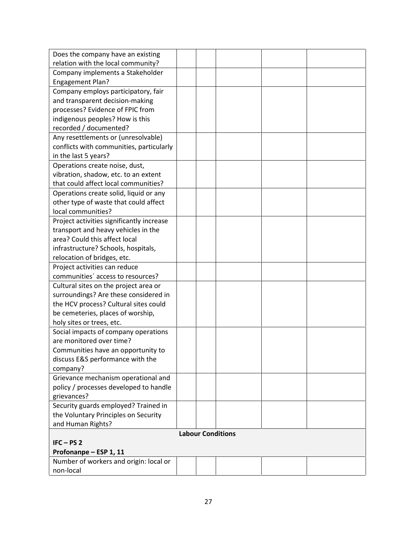| Does the company have an existing         |  |                          |  |
|-------------------------------------------|--|--------------------------|--|
| relation with the local community?        |  |                          |  |
| Company implements a Stakeholder          |  |                          |  |
| <b>Engagement Plan?</b>                   |  |                          |  |
| Company employs participatory, fair       |  |                          |  |
| and transparent decision-making           |  |                          |  |
| processes? Evidence of FPIC from          |  |                          |  |
| indigenous peoples? How is this           |  |                          |  |
| recorded / documented?                    |  |                          |  |
| Any resettlements or (unresolvable)       |  |                          |  |
| conflicts with communities, particularly  |  |                          |  |
| in the last 5 years?                      |  |                          |  |
| Operations create noise, dust,            |  |                          |  |
| vibration, shadow, etc. to an extent      |  |                          |  |
| that could affect local communities?      |  |                          |  |
| Operations create solid, liquid or any    |  |                          |  |
| other type of waste that could affect     |  |                          |  |
| local communities?                        |  |                          |  |
| Project activities significantly increase |  |                          |  |
| transport and heavy vehicles in the       |  |                          |  |
| area? Could this affect local             |  |                          |  |
| infrastructure? Schools, hospitals,       |  |                          |  |
| relocation of bridges, etc.               |  |                          |  |
| Project activities can reduce             |  |                          |  |
| communities' access to resources?         |  |                          |  |
| Cultural sites on the project area or     |  |                          |  |
| surroundings? Are these considered in     |  |                          |  |
| the HCV process? Cultural sites could     |  |                          |  |
| be cemeteries, places of worship,         |  |                          |  |
| holy sites or trees, etc.                 |  |                          |  |
| Social impacts of company operations      |  |                          |  |
| are monitored over time?                  |  |                          |  |
| Communities have an opportunity to        |  |                          |  |
| discuss E&S performance with the          |  |                          |  |
| company?                                  |  |                          |  |
| Grievance mechanism operational and       |  |                          |  |
| policy / processes developed to handle    |  |                          |  |
| grievances?                               |  |                          |  |
| Security guards employed? Trained in      |  |                          |  |
| the Voluntary Principles on Security      |  |                          |  |
| and Human Rights?                         |  |                          |  |
|                                           |  | <b>Labour Conditions</b> |  |
| $IFC - PS2$                               |  |                          |  |
| Profonanpe - ESP 1, 11                    |  |                          |  |
| Number of workers and origin: local or    |  |                          |  |
| non-local                                 |  |                          |  |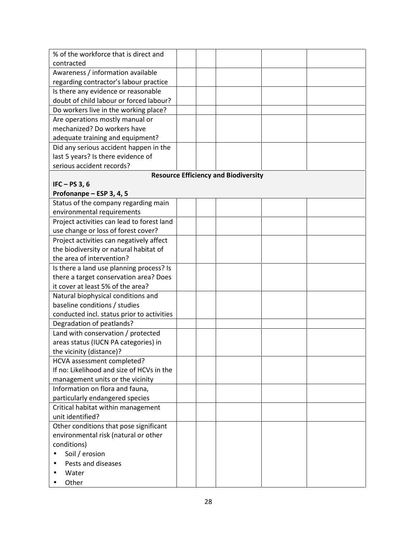| % of the workforce that is direct and      |  |                                             |  |
|--------------------------------------------|--|---------------------------------------------|--|
| contracted                                 |  |                                             |  |
| Awareness / information available          |  |                                             |  |
| regarding contractor's labour practice     |  |                                             |  |
| Is there any evidence or reasonable        |  |                                             |  |
| doubt of child labour or forced labour?    |  |                                             |  |
| Do workers live in the working place?      |  |                                             |  |
| Are operations mostly manual or            |  |                                             |  |
| mechanized? Do workers have                |  |                                             |  |
| adequate training and equipment?           |  |                                             |  |
| Did any serious accident happen in the     |  |                                             |  |
| last 5 years? Is there evidence of         |  |                                             |  |
| serious accident records?                  |  |                                             |  |
|                                            |  | <b>Resource Efficiency and Biodiversity</b> |  |
| IFC $-$ PS 3, 6                            |  |                                             |  |
| Profonanpe - ESP 3, 4, 5                   |  |                                             |  |
| Status of the company regarding main       |  |                                             |  |
| environmental requirements                 |  |                                             |  |
| Project activities can lead to forest land |  |                                             |  |
| use change or loss of forest cover?        |  |                                             |  |
| Project activities can negatively affect   |  |                                             |  |
| the biodiversity or natural habitat of     |  |                                             |  |
| the area of intervention?                  |  |                                             |  |
| Is there a land use planning process? Is   |  |                                             |  |
| there a target conservation area? Does     |  |                                             |  |
| it cover at least 5% of the area?          |  |                                             |  |
| Natural biophysical conditions and         |  |                                             |  |
| baseline conditions / studies              |  |                                             |  |
| conducted incl. status prior to activities |  |                                             |  |
| Degradation of peatlands?                  |  |                                             |  |
| Land with conservation / protected         |  |                                             |  |
| areas status (IUCN PA categories) in       |  |                                             |  |
| the vicinity (distance)?                   |  |                                             |  |
| HCVA assessment completed?                 |  |                                             |  |
| If no: Likelihood and size of HCVs in the  |  |                                             |  |
| management units or the vicinity           |  |                                             |  |
| Information on flora and fauna,            |  |                                             |  |
| particularly endangered species            |  |                                             |  |
| Critical habitat within management         |  |                                             |  |
| unit identified?                           |  |                                             |  |
| Other conditions that pose significant     |  |                                             |  |
| environmental risk (natural or other       |  |                                             |  |
| conditions)                                |  |                                             |  |
| Soil / erosion                             |  |                                             |  |
| Pests and diseases                         |  |                                             |  |
| Water                                      |  |                                             |  |
| Other                                      |  |                                             |  |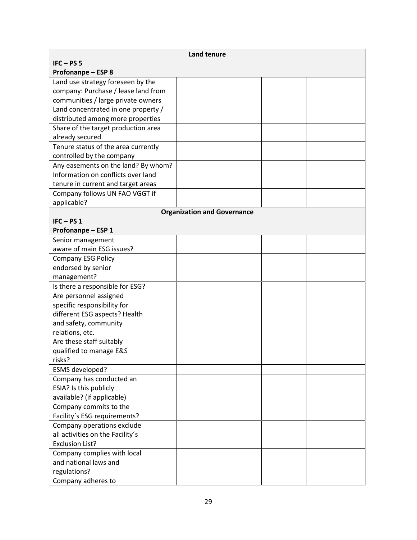| <b>Land tenure</b>                  |  |  |                                    |  |
|-------------------------------------|--|--|------------------------------------|--|
| $IFC - PS 5$                        |  |  |                                    |  |
| <b>Profonanpe - ESP 8</b>           |  |  |                                    |  |
| Land use strategy foreseen by the   |  |  |                                    |  |
| company: Purchase / lease land from |  |  |                                    |  |
| communities / large private owners  |  |  |                                    |  |
| Land concentrated in one property / |  |  |                                    |  |
| distributed among more properties   |  |  |                                    |  |
| Share of the target production area |  |  |                                    |  |
| already secured                     |  |  |                                    |  |
| Tenure status of the area currently |  |  |                                    |  |
| controlled by the company           |  |  |                                    |  |
| Any easements on the land? By whom? |  |  |                                    |  |
| Information on conflicts over land  |  |  |                                    |  |
| tenure in current and target areas  |  |  |                                    |  |
| Company follows UN FAO VGGT if      |  |  |                                    |  |
| applicable?                         |  |  |                                    |  |
|                                     |  |  | <b>Organization and Governance</b> |  |
| $IFC - PS1$                         |  |  |                                    |  |
| Profonanpe - ESP 1                  |  |  |                                    |  |
| Senior management                   |  |  |                                    |  |
| aware of main ESG issues?           |  |  |                                    |  |
| <b>Company ESG Policy</b>           |  |  |                                    |  |
| endorsed by senior                  |  |  |                                    |  |
| management?                         |  |  |                                    |  |
| Is there a responsible for ESG?     |  |  |                                    |  |
| Are personnel assigned              |  |  |                                    |  |
| specific responsibility for         |  |  |                                    |  |
| different ESG aspects? Health       |  |  |                                    |  |
| and safety, community               |  |  |                                    |  |
| relations, etc.                     |  |  |                                    |  |
| Are these staff suitably            |  |  |                                    |  |
| qualified to manage E&S             |  |  |                                    |  |
| risks?                              |  |  |                                    |  |
| ESMS developed?                     |  |  |                                    |  |
| Company has conducted an            |  |  |                                    |  |
| ESIA? Is this publicly              |  |  |                                    |  |
| available? (if applicable)          |  |  |                                    |  |
| Company commits to the              |  |  |                                    |  |
| Facility's ESG requirements?        |  |  |                                    |  |
| Company operations exclude          |  |  |                                    |  |
| all activities on the Facility's    |  |  |                                    |  |
| <b>Exclusion List?</b>              |  |  |                                    |  |
| Company complies with local         |  |  |                                    |  |
| and national laws and               |  |  |                                    |  |
| regulations?                        |  |  |                                    |  |
| Company adheres to                  |  |  |                                    |  |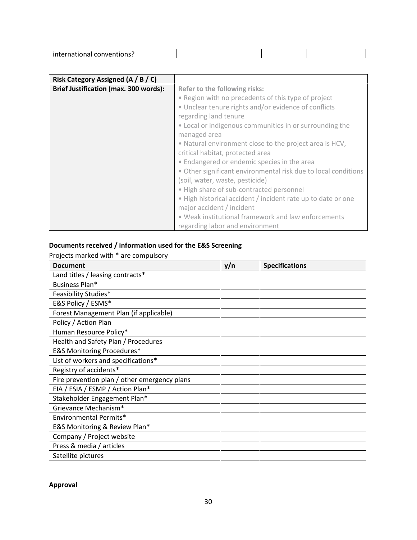|  | ınt<br>- - -<br>.  .<br>$\mathbf{u}$<br>בוושו<br>____<br>. |  |  |  |  |  |
|--|------------------------------------------------------------|--|--|--|--|--|
|--|------------------------------------------------------------|--|--|--|--|--|

| Risk Category Assigned (A / B / C)    |                                                                |
|---------------------------------------|----------------------------------------------------------------|
| Brief Justification (max. 300 words): | Refer to the following risks:                                  |
|                                       | • Region with no precedents of this type of project            |
|                                       | • Unclear tenure rights and/or evidence of conflicts           |
|                                       | regarding land tenure                                          |
|                                       | • Local or indigenous communities in or surrounding the        |
|                                       | managed area                                                   |
|                                       | . Natural environment close to the project area is HCV,        |
|                                       | critical habitat, protected area                               |
|                                       | • Endangered or endemic species in the area                    |
|                                       | • Other significant environmental risk due to local conditions |
|                                       | (soil, water, waste, pesticide)                                |
|                                       | . High share of sub-contracted personnel                       |
|                                       | . High historical accident / incident rate up to date or one   |
|                                       | major accident / incident                                      |
|                                       | • Weak institutional framework and law enforcements            |
|                                       | regarding labor and environment                                |

# **Documents received / information used for the E&S Screening**

Projects marked with \* are compulsory

| <b>Document</b>                              | y/n | <b>Specifications</b> |
|----------------------------------------------|-----|-----------------------|
| Land titles / leasing contracts*             |     |                       |
| Business Plan*                               |     |                       |
| Feasibility Studies*                         |     |                       |
| E&S Policy / ESMS*                           |     |                       |
| Forest Management Plan (if applicable)       |     |                       |
| Policy / Action Plan                         |     |                       |
| Human Resource Policy*                       |     |                       |
| Health and Safety Plan / Procedures          |     |                       |
| <b>E&amp;S Monitoring Procedures*</b>        |     |                       |
| List of workers and specifications*          |     |                       |
| Registry of accidents*                       |     |                       |
| Fire prevention plan / other emergency plans |     |                       |
| EIA / ESIA / ESMP / Action Plan*             |     |                       |
| Stakeholder Engagement Plan*                 |     |                       |
| Grievance Mechanism*                         |     |                       |
| Environmental Permits*                       |     |                       |
| E&S Monitoring & Review Plan*                |     |                       |
| Company / Project website                    |     |                       |
| Press & media / articles                     |     |                       |
| Satellite pictures                           |     |                       |

# **Approval**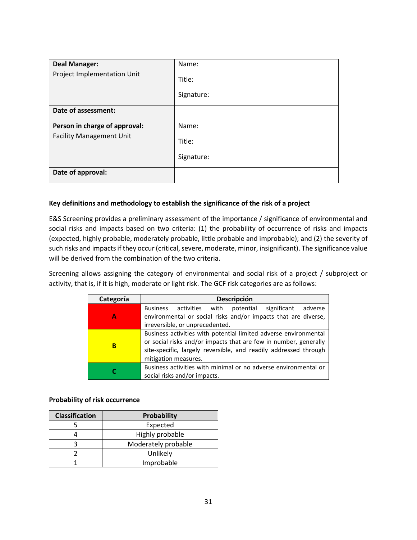| <b>Deal Manager:</b>            | Name:      |
|---------------------------------|------------|
| Project Implementation Unit     | Title:     |
|                                 | Signature: |
| Date of assessment:             |            |
| Person in charge of approval:   | Name:      |
| <b>Facility Management Unit</b> | Title:     |
|                                 | Signature: |
| Date of approval:               |            |

#### **Key definitions and methodology to establish the significance of the risk of a project**

E&S Screening provides a preliminary assessment of the importance / significance of environmental and social risks and impacts based on two criteria: (1) the probability of occurrence of risks and impacts (expected, highly probable, moderately probable, little probable and improbable); and (2) the severity of such risks and impacts if they occur (critical, severe, moderate, minor, insignificant). The significance value will be derived from the combination of the two criteria.

Screening allows assigning the category of environmental and social risk of a project / subproject or activity, that is, if it is high, moderate or light risk. The GCF risk categories are as follows:

| Categoría                                                                                       | <b>Descripción</b>                                                                                                                                                                                                               |  |  |  |  |  |  |
|-------------------------------------------------------------------------------------------------|----------------------------------------------------------------------------------------------------------------------------------------------------------------------------------------------------------------------------------|--|--|--|--|--|--|
| А                                                                                               | with<br>potential<br>significant adverse<br><b>Business</b><br>activities<br>environmental or social risks and/or impacts that are diverse,<br>irreversible, or unprecedented.                                                   |  |  |  |  |  |  |
| B                                                                                               | Business activities with potential limited adverse environmental<br>or social risks and/or impacts that are few in number, generally<br>site-specific, largely reversible, and readily addressed through<br>mitigation measures. |  |  |  |  |  |  |
| Business activities with minimal or no adverse environmental or<br>social risks and/or impacts. |                                                                                                                                                                                                                                  |  |  |  |  |  |  |

#### **Probability of risk occurrence**

| <b>Classification</b> | Probability         |  |  |  |  |  |
|-----------------------|---------------------|--|--|--|--|--|
|                       | Expected            |  |  |  |  |  |
|                       | Highly probable     |  |  |  |  |  |
|                       | Moderately probable |  |  |  |  |  |
|                       | Unlikely            |  |  |  |  |  |
|                       | Improbable          |  |  |  |  |  |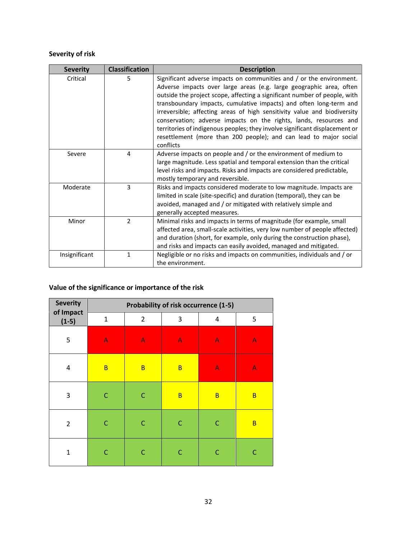# **Severity of risk**

| <b>Severity</b> | <b>Classification</b> | <b>Description</b>                                                                                                                                                                                                                                                                                                                                                                                                                                                                                                                                                                                               |
|-----------------|-----------------------|------------------------------------------------------------------------------------------------------------------------------------------------------------------------------------------------------------------------------------------------------------------------------------------------------------------------------------------------------------------------------------------------------------------------------------------------------------------------------------------------------------------------------------------------------------------------------------------------------------------|
| Critical        | 5                     | Significant adverse impacts on communities and / or the environment.<br>Adverse impacts over large areas (e.g. large geographic area, often<br>outside the project scope, affecting a significant number of people, with<br>transboundary impacts, cumulative impacts) and often long-term and<br>irreversible; affecting areas of high sensitivity value and biodiversity<br>conservation; adverse impacts on the rights, lands, resources and<br>territories of indigenous peoples; they involve significant displacement or<br>resettlement (more than 200 people); and can lead to major social<br>conflicts |
| Severe          | 4                     | Adverse impacts on people and / or the environment of medium to<br>large magnitude. Less spatial and temporal extension than the critical<br>level risks and impacts. Risks and impacts are considered predictable,<br>mostly temporary and reversible.                                                                                                                                                                                                                                                                                                                                                          |
| Moderate        | 3                     | Risks and impacts considered moderate to low magnitude. Impacts are<br>limited in scale (site-specific) and duration (temporal), they can be<br>avoided, managed and / or mitigated with relatively simple and<br>generally accepted measures.                                                                                                                                                                                                                                                                                                                                                                   |
| Minor           | $\overline{2}$        | Minimal risks and impacts in terms of magnitude (for example, small<br>affected area, small-scale activities, very low number of people affected)<br>and duration (short, for example, only during the construction phase),<br>and risks and impacts can easily avoided, managed and mitigated.                                                                                                                                                                                                                                                                                                                  |
| Insignificant   | 1                     | Negligible or no risks and impacts on communities, individuals and / or<br>the environment.                                                                                                                                                                                                                                                                                                                                                                                                                                                                                                                      |

# **Value of the significance or importance of the risk**

| <b>Severity</b>           | Probability of risk occurrence (1-5) |                           |                           |                           |              |  |  |  |  |  |
|---------------------------|--------------------------------------|---------------------------|---------------------------|---------------------------|--------------|--|--|--|--|--|
| of Impact<br>$(1-5)$      | $\mathbf{1}$                         | $\overline{2}$            | 3                         | 4                         | 5            |  |  |  |  |  |
| 5                         | $\mathsf{A}$                         | $\boldsymbol{\mathsf{A}}$ | $\boldsymbol{\mathsf{A}}$ | $\boldsymbol{\mathsf{A}}$ | $\mathsf{A}$ |  |  |  |  |  |
| 4                         | $\overline{B}$                       | $\overline{B}$            | B                         | $\mathsf{A}$              | $\mathsf{A}$ |  |  |  |  |  |
| $\ensuremath{\mathsf{3}}$ | C                                    | C                         | B                         | $\overline{B}$            | B            |  |  |  |  |  |
| $\overline{2}$            | $\mathsf{C}$                         | $\mathsf{C}$              | $\mathsf{C}$              | $\mathsf C$               | B            |  |  |  |  |  |
| $\overline{1}$            | C                                    | C                         | C                         | $\mathsf{C}$              | $\mathsf{C}$ |  |  |  |  |  |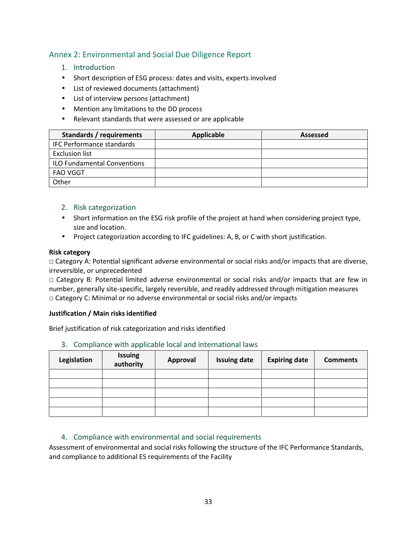# Annex 2: Environmental and Social Due Diligence Report

## 1. Introduction

- Short description of ESG process: dates and visits, experts involved
- List of reviewed documents (attachment)
- List of interview persons (attachment)
- Mention any limitations to the DD process
	- Relevant standards that were assessed or are applicable

| Standards / requirements           | Applicable | <b>Assessed</b> |
|------------------------------------|------------|-----------------|
| <b>IFC Performance standards</b>   |            |                 |
| <b>Exclusion list</b>              |            |                 |
| <b>ILO Fundamental Conventions</b> |            |                 |
| <b>FAO VGGT</b>                    |            |                 |
| Other                              |            |                 |

## 2. Risk categorization

- Short information on the ESG risk profile of the project at hand when considering project type, size and location.
- Project categorization according to IFC guidelines: A, B, or C with short justification.

#### **Risk category**

 $\Box$  Category A: Potential significant adverse environmental or social risks and/or impacts that are diverse, irreversible, or unprecedented

□ Category B: Potential limited adverse environmental or social risks and/or impacts that are few in number, generally site-specific, largely reversible, and readily addressed through mitigation measures □ Category C: Minimal or no adverse environmental or social risks and/or impacts

#### **Justification / Main risks identified**

Brief justification of risk categorization and risks identified

3. Compliance with applicable local and international laws

| Legislation | <b>Issuing</b><br>authority | Approval | <b>Issuing date</b> | <b>Expiring date</b> | <b>Comments</b> |
|-------------|-----------------------------|----------|---------------------|----------------------|-----------------|
|             |                             |          |                     |                      |                 |
|             |                             |          |                     |                      |                 |
|             |                             |          |                     |                      |                 |
|             |                             |          |                     |                      |                 |
|             |                             |          |                     |                      |                 |

## 4. Compliance with environmental and social requirements

Assessment of environmental and social risks following the structure of the IFC Performance Standards, and compliance to additional ES requirements of the Facility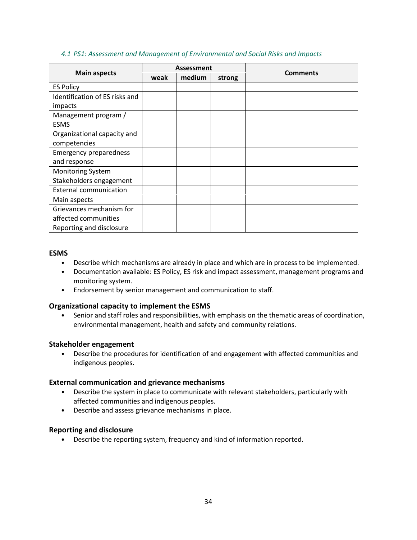#### *4.1 PS1: Assessment and Management of Environmental and Social Risks and Impacts*

| <b>Main aspects</b>            | Assessment |        |        | <b>Comments</b> |
|--------------------------------|------------|--------|--------|-----------------|
|                                | weak       | medium | strong |                 |
| <b>ES Policy</b>               |            |        |        |                 |
| Identification of ES risks and |            |        |        |                 |
| impacts                        |            |        |        |                 |
| Management program /           |            |        |        |                 |
| <b>ESMS</b>                    |            |        |        |                 |
| Organizational capacity and    |            |        |        |                 |
| competencies                   |            |        |        |                 |
| <b>Emergency preparedness</b>  |            |        |        |                 |
| and response                   |            |        |        |                 |
| <b>Monitoring System</b>       |            |        |        |                 |
| Stakeholders engagement        |            |        |        |                 |
| <b>External communication</b>  |            |        |        |                 |
| Main aspects                   |            |        |        |                 |
| Grievances mechanism for       |            |        |        |                 |
| affected communities           |            |        |        |                 |
| Reporting and disclosure       |            |        |        |                 |

#### **ESMS**

- Describe which mechanisms are already in place and which are in process to be implemented.
- Documentation available: ES Policy, ES risk and impact assessment, management programs and monitoring system.
- Endorsement by senior management and communication to staff.

## **Organizational capacity to implement the ESMS**

• Senior and staff roles and responsibilities, with emphasis on the thematic areas of coordination, environmental management, health and safety and community relations.

#### **Stakeholder engagement**

• Describe the procedures for identification of and engagement with affected communities and indigenous peoples.

#### **External communication and grievance mechanisms**

- Describe the system in place to communicate with relevant stakeholders, particularly with affected communities and indigenous peoples.
- Describe and assess grievance mechanisms in place.

#### **Reporting and disclosure**

• Describe the reporting system, frequency and kind of information reported.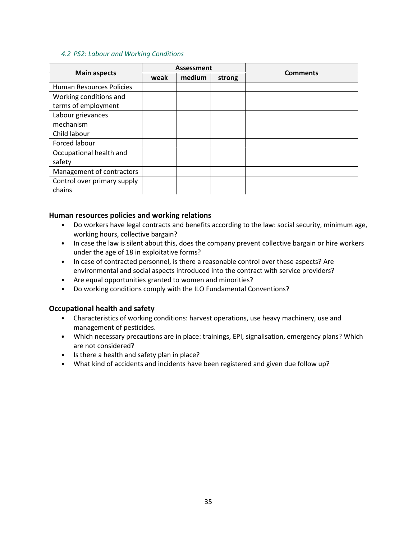#### *4.2 PS2: Labour and Working Conditions*

|                             | <b>Assessment</b> |        |        | <b>Comments</b> |
|-----------------------------|-------------------|--------|--------|-----------------|
| <b>Main aspects</b>         | weak              | medium | strong |                 |
| Human Resources Policies    |                   |        |        |                 |
| Working conditions and      |                   |        |        |                 |
| terms of employment         |                   |        |        |                 |
| Labour grievances           |                   |        |        |                 |
| mechanism                   |                   |        |        |                 |
| Child labour                |                   |        |        |                 |
| Forced labour               |                   |        |        |                 |
| Occupational health and     |                   |        |        |                 |
| safety                      |                   |        |        |                 |
| Management of contractors   |                   |        |        |                 |
| Control over primary supply |                   |        |        |                 |
| chains                      |                   |        |        |                 |

#### **Human resources policies and working relations**

- Do workers have legal contracts and benefits according to the law: social security, minimum age, working hours, collective bargain?
- In case the law is silent about this, does the company prevent collective bargain or hire workers under the age of 18 in exploitative forms?
- In case of contracted personnel, is there a reasonable control over these aspects? Are environmental and social aspects introduced into the contract with service providers?
- Are equal opportunities granted to women and minorities?
- Do working conditions comply with the ILO Fundamental Conventions?

## **Occupational health and safety**

- Characteristics of working conditions: harvest operations, use heavy machinery, use and management of pesticides.
- Which necessary precautions are in place: trainings, EPI, signalisation, emergency plans? Which are not considered?
- Is there a health and safety plan in place?
- What kind of accidents and incidents have been registered and given due follow up?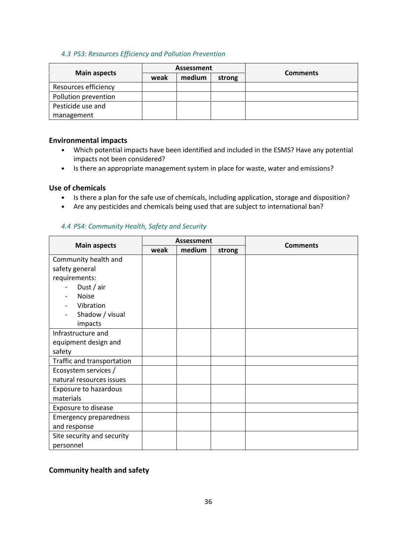#### *4.3 PS3: Resources Efficiency and Pollution Prevention*

|                      | Assessment |        |        |                 |
|----------------------|------------|--------|--------|-----------------|
| <b>Main aspects</b>  | weak       | medium | strong | <b>Comments</b> |
| Resources efficiency |            |        |        |                 |
| Pollution prevention |            |        |        |                 |
| Pesticide use and    |            |        |        |                 |
| management           |            |        |        |                 |

#### **Environmental impacts**

- Which potential impacts have been identified and included in the ESMS? Have any potential impacts not been considered?
- Is there an appropriate management system in place for waste, water and emissions?

#### **Use of chemicals**

- Is there a plan for the safe use of chemicals, including application, storage and disposition?
- Are any pesticides and chemicals being used that are subject to international ban?

#### *4.4 PS4: Community Health, Safety and Security*

|                               | <b>Assessment</b> |        |        | <b>Comments</b> |
|-------------------------------|-------------------|--------|--------|-----------------|
| <b>Main aspects</b>           | weak              | medium | strong |                 |
| Community health and          |                   |        |        |                 |
| safety general                |                   |        |        |                 |
| requirements:                 |                   |        |        |                 |
| Dust / air                    |                   |        |        |                 |
| <b>Noise</b>                  |                   |        |        |                 |
| Vibration                     |                   |        |        |                 |
| Shadow / visual               |                   |        |        |                 |
| impacts                       |                   |        |        |                 |
| Infrastructure and            |                   |        |        |                 |
| equipment design and          |                   |        |        |                 |
| safety                        |                   |        |        |                 |
| Traffic and transportation    |                   |        |        |                 |
| Ecosystem services /          |                   |        |        |                 |
| natural resources issues      |                   |        |        |                 |
| Exposure to hazardous         |                   |        |        |                 |
| materials                     |                   |        |        |                 |
| Exposure to disease           |                   |        |        |                 |
| <b>Emergency preparedness</b> |                   |        |        |                 |
| and response                  |                   |        |        |                 |
| Site security and security    |                   |        |        |                 |
| personnel                     |                   |        |        |                 |

## **Community health and safety**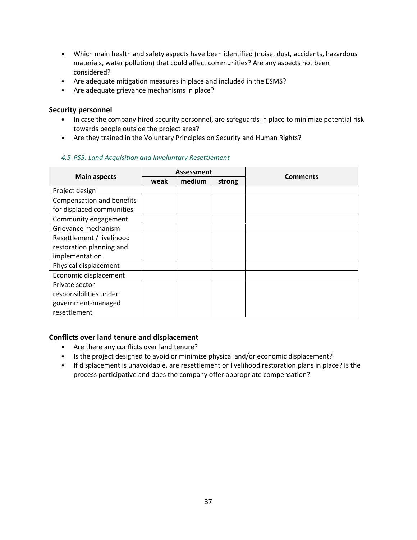- Which main health and safety aspects have been identified (noise, dust, accidents, hazardous materials, water pollution) that could affect communities? Are any aspects not been considered?
- Are adequate mitigation measures in place and included in the ESMS?
- Are adequate grievance mechanisms in place?

#### **Security personnel**

- In case the company hired security personnel, are safeguards in place to minimize potential risk towards people outside the project area?
- Are they trained in the Voluntary Principles on Security and Human Rights?

|                           | <b>Assessment</b> |        |        |                 |
|---------------------------|-------------------|--------|--------|-----------------|
| <b>Main aspects</b>       | weak              | medium | strong | <b>Comments</b> |
| Project design            |                   |        |        |                 |
| Compensation and benefits |                   |        |        |                 |
| for displaced communities |                   |        |        |                 |
| Community engagement      |                   |        |        |                 |
| Grievance mechanism       |                   |        |        |                 |
| Resettlement / livelihood |                   |        |        |                 |
| restoration planning and  |                   |        |        |                 |
| implementation            |                   |        |        |                 |
| Physical displacement     |                   |        |        |                 |
| Economic displacement     |                   |        |        |                 |
| Private sector            |                   |        |        |                 |
| responsibilities under    |                   |        |        |                 |
| government-managed        |                   |        |        |                 |
| resettlement              |                   |        |        |                 |

## *4.5 PS5: Land Acquisition and Involuntary Resettlement*

## **Conflicts over land tenure and displacement**

- Are there any conflicts over land tenure?
- Is the project designed to avoid or minimize physical and/or economic displacement?
- If displacement is unavoidable, are resettlement or livelihood restoration plans in place? Is the process participative and does the company offer appropriate compensation?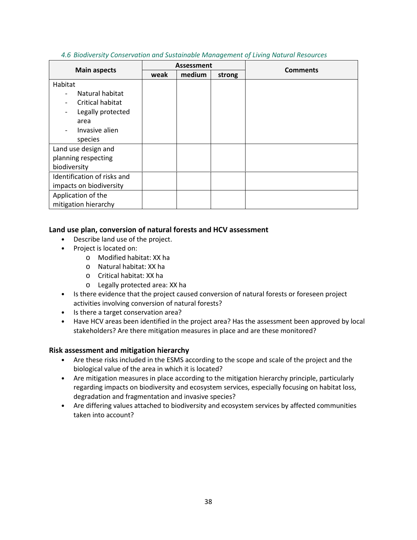| 4.6 Biodiversity Conservation and Sustainable Management of Living Natural Resources |
|--------------------------------------------------------------------------------------|
|                                                                                      |

|                             | Assessment |        |        | <b>Comments</b> |
|-----------------------------|------------|--------|--------|-----------------|
| <b>Main aspects</b>         | weak       | medium | strong |                 |
| Habitat                     |            |        |        |                 |
| Natural habitat             |            |        |        |                 |
| Critical habitat            |            |        |        |                 |
| Legally protected           |            |        |        |                 |
| area                        |            |        |        |                 |
| Invasive alien              |            |        |        |                 |
| species                     |            |        |        |                 |
| Land use design and         |            |        |        |                 |
| planning respecting         |            |        |        |                 |
| biodiversity                |            |        |        |                 |
| Identification of risks and |            |        |        |                 |
| impacts on biodiversity     |            |        |        |                 |
| Application of the          |            |        |        |                 |
| mitigation hierarchy        |            |        |        |                 |

#### **Land use plan, conversion of natural forests and HCV assessment**

- Describe land use of the project.
- Project is located on:
	- o Modified habitat: XX ha
	- o Natural habitat: XX ha
	- o Critical habitat: XX ha
	- o Legally protected area: XX ha
- Is there evidence that the project caused conversion of natural forests or foreseen project activities involving conversion of natural forests?
- Is there a target conservation area?
- Have HCV areas been identified in the project area? Has the assessment been approved by local stakeholders? Are there mitigation measures in place and are these monitored?

## **Risk assessment and mitigation hierarchy**

- Are these risks included in the ESMS according to the scope and scale of the project and the biological value of the area in which it is located?
- Are mitigation measures in place according to the mitigation hierarchy principle, particularly regarding impacts on biodiversity and ecosystem services, especially focusing on habitat loss, degradation and fragmentation and invasive species?
- Are differing values attached to biodiversity and ecosystem services by affected communities taken into account?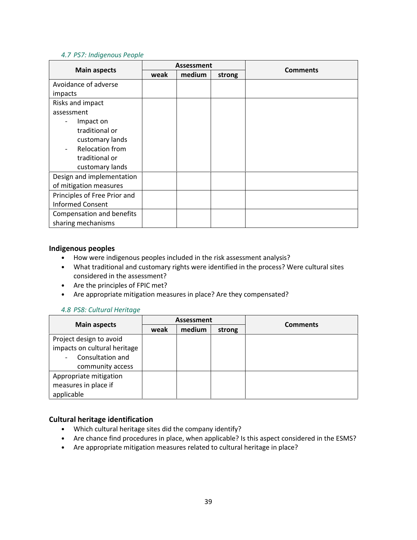#### *4.7 PS7: Indigenous People*

|                              | <b>Assessment</b> |        |        | <b>Comments</b> |  |
|------------------------------|-------------------|--------|--------|-----------------|--|
| <b>Main aspects</b>          | weak              | medium | strong |                 |  |
| Avoidance of adverse         |                   |        |        |                 |  |
| impacts                      |                   |        |        |                 |  |
| Risks and impact             |                   |        |        |                 |  |
| assessment                   |                   |        |        |                 |  |
| Impact on                    |                   |        |        |                 |  |
| traditional or               |                   |        |        |                 |  |
| customary lands              |                   |        |        |                 |  |
| <b>Relocation from</b>       |                   |        |        |                 |  |
| traditional or               |                   |        |        |                 |  |
| customary lands              |                   |        |        |                 |  |
| Design and implementation    |                   |        |        |                 |  |
| of mitigation measures       |                   |        |        |                 |  |
| Principles of Free Prior and |                   |        |        |                 |  |
| <b>Informed Consent</b>      |                   |        |        |                 |  |
| Compensation and benefits    |                   |        |        |                 |  |
| sharing mechanisms           |                   |        |        |                 |  |

#### **Indigenous peoples**

- How were indigenous peoples included in the risk assessment analysis?
- What traditional and customary rights were identified in the process? Were cultural sites considered in the assessment?
- Are the principles of FPIC met?
- Are appropriate mitigation measures in place? Are they compensated?

#### *4.8 PS8: Cultural Heritage*

|                              | <b>Assessment</b> |        |        |                 |  |
|------------------------------|-------------------|--------|--------|-----------------|--|
| <b>Main aspects</b>          | weak              | medium | strong | <b>Comments</b> |  |
| Project design to avoid      |                   |        |        |                 |  |
| impacts on cultural heritage |                   |        |        |                 |  |
| Consultation and             |                   |        |        |                 |  |
| community access             |                   |        |        |                 |  |
| Appropriate mitigation       |                   |        |        |                 |  |
| measures in place if         |                   |        |        |                 |  |
| applicable                   |                   |        |        |                 |  |

## **Cultural heritage identification**

- Which cultural heritage sites did the company identify?
- Are chance find procedures in place, when applicable? Is this aspect considered in the ESMS?
- Are appropriate mitigation measures related to cultural heritage in place?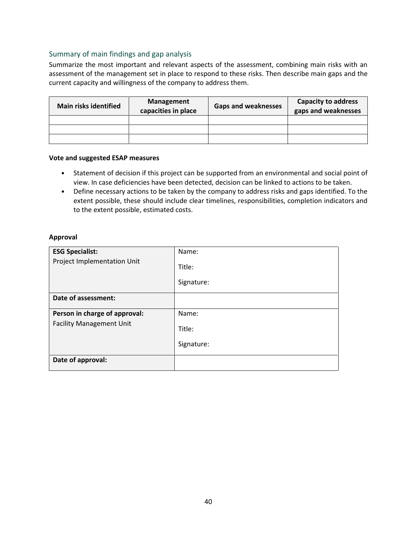#### Summary of main findings and gap analysis

Summarize the most important and relevant aspects of the assessment, combining main risks with an assessment of the management set in place to respond to these risks. Then describe main gaps and the current capacity and willingness of the company to address them.

| <b>Main risks identified</b> | Management<br>capacities in place | <b>Gaps and weaknesses</b> | <b>Capacity to address</b><br>gaps and weaknesses |
|------------------------------|-----------------------------------|----------------------------|---------------------------------------------------|
|                              |                                   |                            |                                                   |
|                              |                                   |                            |                                                   |
|                              |                                   |                            |                                                   |

#### **Vote and suggested ESAP measures**

- Statement of decision if this project can be supported from an environmental and social point of view. In case deficiencies have been detected, decision can be linked to actions to be taken.
- Define necessary actions to be taken by the company to address risks and gaps identified. To the extent possible, these should include clear timelines, responsibilities, completion indicators and to the extent possible, estimated costs.

#### **Approval**

| <b>ESG Specialist:</b>          | Name:      |
|---------------------------------|------------|
| Project Implementation Unit     | Title:     |
|                                 | Signature: |
| Date of assessment:             |            |
| Person in charge of approval:   | Name:      |
| <b>Facility Management Unit</b> | Title:     |
|                                 | Signature: |
| Date of approval:               |            |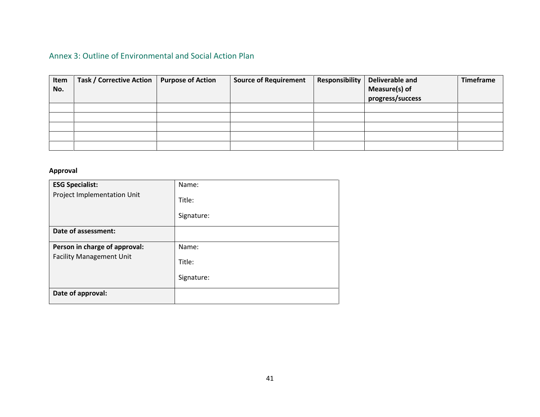# Annex 3: Outline of Environmental and Social Action Plan

| Item<br>No. | Task / Corrective Action | <b>Purpose of Action</b> | <b>Source of Requirement</b> | Responsibility | Deliverable and<br>Measure(s) of<br>progress/success | Timeframe |
|-------------|--------------------------|--------------------------|------------------------------|----------------|------------------------------------------------------|-----------|
|             |                          |                          |                              |                |                                                      |           |
|             |                          |                          |                              |                |                                                      |           |
|             |                          |                          |                              |                |                                                      |           |
|             |                          |                          |                              |                |                                                      |           |
|             |                          |                          |                              |                |                                                      |           |

## **Approval**

| <b>ESG Specialist:</b>          | Name:      |
|---------------------------------|------------|
| Project Implementation Unit     | Title:     |
|                                 | Signature: |
| Date of assessment:             |            |
| Person in charge of approval:   | Name:      |
| <b>Facility Management Unit</b> | Title:     |
|                                 | Signature: |
| Date of approval:               |            |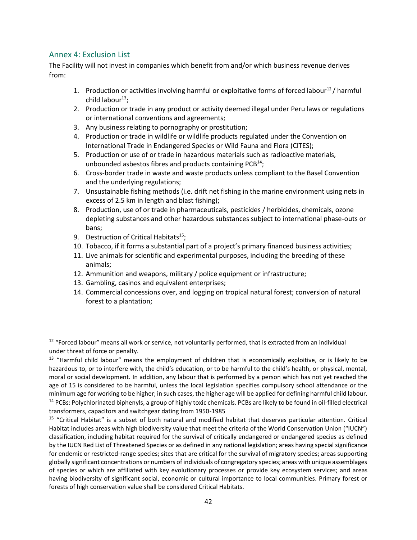## Annex 4: Exclusion List

The Facility will not invest in companies which benefit from and/or which business revenue derives from:

- 1. Production or activities involving harmful or exploitative forms of forced labour<sup>12</sup>/ harmful child labour $^{13}$ ;
- 2. Production or trade in any product or activity deemed illegal under Peru laws or regulations or international conventions and agreements;
- 3. Any business relating to pornography or prostitution;
- 4. Production or trade in wildlife or wildlife products regulated under the Convention on International Trade in Endangered Species or Wild Fauna and Flora (CITES);
- 5. Production or use of or trade in hazardous materials such as radioactive materials, unbounded asbestos fibres and products containing  $PCB^{14}$ ;
- 6. Cross-border trade in waste and waste products unless compliant to the Basel Convention and the underlying regulations;
- 7. Unsustainable fishing methods (i.e. drift net fishing in the marine environment using nets in excess of 2.5 km in length and blast fishing);
- 8. Production, use of or trade in pharmaceuticals, pesticides / herbicides, chemicals, ozone depleting substances and other hazardous substances subject to international phase-outs or bans;
- 9. Destruction of Critical Habitats<sup>15</sup>;
- 10. Tobacco, if it forms a substantial part of a project's primary financed business activities;
- 11. Live animals for scientific and experimental purposes, including the breeding of these animals;
- 12. Ammunition and weapons, military / police equipment or infrastructure;
- 13. Gambling, casinos and equivalent enterprises;
- 14. Commercial concessions over, and logging on tropical natural forest; conversion of natural forest to a plantation;

<sup>&</sup>lt;sup>12</sup> "Forced labour" means all work or service, not voluntarily performed, that is extracted from an individual under threat of force or penalty.

<sup>&</sup>lt;sup>13</sup> "Harmful child labour" means the employment of children that is economically exploitive, or is likely to be hazardous to, or to interfere with, the child's education, or to be harmful to the child's health, or physical, mental, moral or social development. In addition, any labour that is performed by a person which has not yet reached the age of 15 is considered to be harmful, unless the local legislation specifies compulsory school attendance or the minimum age for working to be higher; in such cases, the higher age will be applied for defining harmful child labour. <sup>14</sup> PCBs: Polychlorinated biphenyls, a group of highly toxic chemicals. PCBs are likely to be found in oil-filled electrical

transformers, capacitors and switchgear dating from 1950-1985 <sup>15</sup> "Critical Habitat" is a subset of both natural and modified habitat that deserves particular attention. Critical Habitat includes areas with high biodiversity value that meet the criteria of the World Conservation Union ("IUCN")

classification, including habitat required for the survival of critically endangered or endangered species as defined by the IUCN Red List of Threatened Species or as defined in any national legislation; areas having special significance for endemic or restricted-range species; sites that are critical for the survival of migratory species; areas supporting globally significant concentrations or numbers of individuals of congregatory species; areas with unique assemblages of species or which are affiliated with key evolutionary processes or provide key ecosystem services; and areas having biodiversity of significant social, economic or cultural importance to local communities. Primary forest or forests of high conservation value shall be considered Critical Habitats.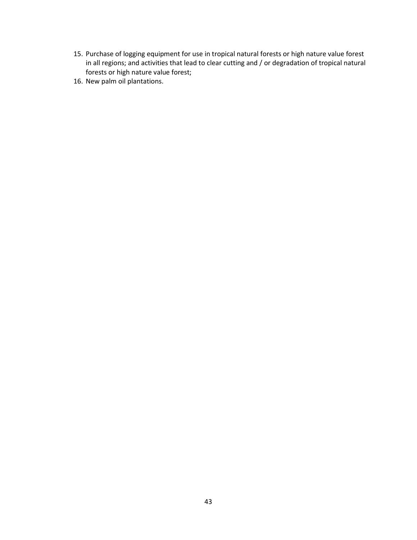- 15. Purchase of logging equipment for use in tropical natural forests or high nature value forest in all regions; and activities that lead to clear cutting and / or degradation of tropical natural forests or high nature value forest;
- 16. New palm oil plantations.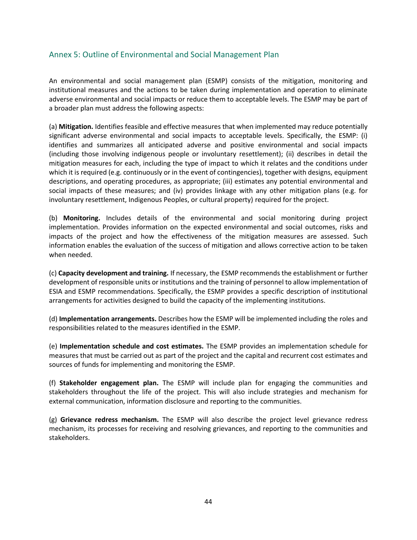## Annex 5: Outline of Environmental and Social Management Plan

An environmental and social management plan (ESMP) consists of the mitigation, monitoring and institutional measures and the actions to be taken during implementation and operation to eliminate adverse environmental and social impacts or reduce them to acceptable levels. The ESMP may be part of a broader plan must address the following aspects:

(a) **Mitigation.** Identifies feasible and effective measures that when implemented may reduce potentially significant adverse environmental and social impacts to acceptable levels. Specifically, the ESMP: (i) identifies and summarizes all anticipated adverse and positive environmental and social impacts (including those involving indigenous people or involuntary resettlement); (ii) describes in detail the mitigation measures for each, including the type of impact to which it relates and the conditions under which it is required (e.g. continuously or in the event of contingencies), together with designs, equipment descriptions, and operating procedures, as appropriate; (iii) estimates any potential environmental and social impacts of these measures; and (iv) provides linkage with any other mitigation plans (e.g. for involuntary resettlement, Indigenous Peoples, or cultural property) required for the project.

(b) **Monitoring.** Includes details of the environmental and social monitoring during project implementation. Provides information on the expected environmental and social outcomes, risks and impacts of the project and how the effectiveness of the mitigation measures are assessed. Such information enables the evaluation of the success of mitigation and allows corrective action to be taken when needed.

(c) **Capacity development and training.** If necessary, the ESMP recommends the establishment or further development of responsible units or institutions and the training of personnel to allow implementation of ESIA and ESMP recommendations. Specifically, the ESMP provides a specific description of institutional arrangements for activities designed to build the capacity of the implementing institutions.

(d) **Implementation arrangements.** Describes how the ESMP will be implemented including the roles and responsibilities related to the measures identified in the ESMP.

(e) **Implementation schedule and cost estimates.** The ESMP provides an implementation schedule for measures that must be carried out as part of the project and the capital and recurrent cost estimates and sources of funds for implementing and monitoring the ESMP.

(f) **Stakeholder engagement plan.** The ESMP will include plan for engaging the communities and stakeholders throughout the life of the project. This will also include strategies and mechanism for external communication, information disclosure and reporting to the communities.

(g) **Grievance redress mechanism.** The ESMP will also describe the project level grievance redress mechanism, its processes for receiving and resolving grievances, and reporting to the communities and stakeholders.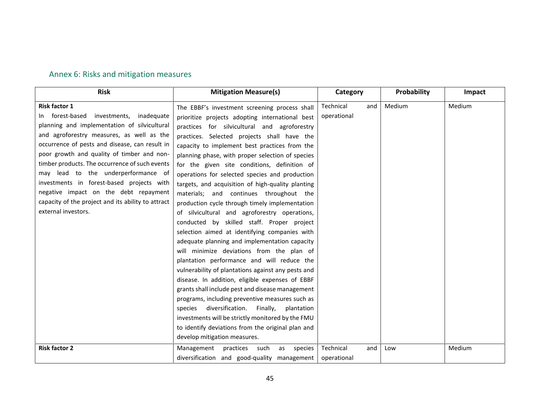# Annex 6: Risks and mitigation measures

| <b>Risk</b>                                                                                                                                                                                                                                                                                                                                                                                                                                                                                                                    | <b>Mitigation Measure(s)</b>                                                                                                                                                                                                                                                                                                                                                                                                                                                                                                                                                                                                                                                                                                                                                                                                                                                                                                                                  | Category                        | Probability | Impact |
|--------------------------------------------------------------------------------------------------------------------------------------------------------------------------------------------------------------------------------------------------------------------------------------------------------------------------------------------------------------------------------------------------------------------------------------------------------------------------------------------------------------------------------|---------------------------------------------------------------------------------------------------------------------------------------------------------------------------------------------------------------------------------------------------------------------------------------------------------------------------------------------------------------------------------------------------------------------------------------------------------------------------------------------------------------------------------------------------------------------------------------------------------------------------------------------------------------------------------------------------------------------------------------------------------------------------------------------------------------------------------------------------------------------------------------------------------------------------------------------------------------|---------------------------------|-------------|--------|
| <b>Risk factor 1</b><br>forest-based investments, inadequate<br>In In<br>planning and implementation of silvicultural<br>and agroforestry measures, as well as the<br>occurrence of pests and disease, can result in<br>poor growth and quality of timber and non-<br>timber products. The occurrence of such events<br>may lead to the underperformance of<br>investments in forest-based projects with<br>negative impact on the debt repayment<br>capacity of the project and its ability to attract<br>external investors. | The EBBF's investment screening process shall<br>prioritize projects adopting international best<br>practices for silvicultural and agroforestry<br>practices. Selected projects shall have the<br>capacity to implement best practices from the<br>planning phase, with proper selection of species<br>for the given site conditions, definition of<br>operations for selected species and production<br>targets, and acquisition of high-quality planting<br>materials; and continues throughout the<br>production cycle through timely implementation<br>of silvicultural and agroforestry operations,<br>conducted by skilled staff. Proper project<br>selection aimed at identifying companies with<br>adequate planning and implementation capacity<br>will minimize deviations from the plan of<br>plantation performance and will reduce the<br>vulnerability of plantations against any pests and<br>disease. In addition, eligible expenses of EBBF | Technical<br>and<br>operational | Medium      | Medium |
|                                                                                                                                                                                                                                                                                                                                                                                                                                                                                                                                | grants shall include pest and disease management<br>programs, including preventive measures such as<br>diversification. Finally,<br>plantation<br>species<br>investments will be strictly monitored by the FMU<br>to identify deviations from the original plan and<br>develop mitigation measures.                                                                                                                                                                                                                                                                                                                                                                                                                                                                                                                                                                                                                                                           |                                 |             |        |
| <b>Risk factor 2</b>                                                                                                                                                                                                                                                                                                                                                                                                                                                                                                           | Management<br>practices<br>species<br>such<br>as<br>diversification and good-quality management                                                                                                                                                                                                                                                                                                                                                                                                                                                                                                                                                                                                                                                                                                                                                                                                                                                               | Technical<br>and<br>operational | Low         | Medium |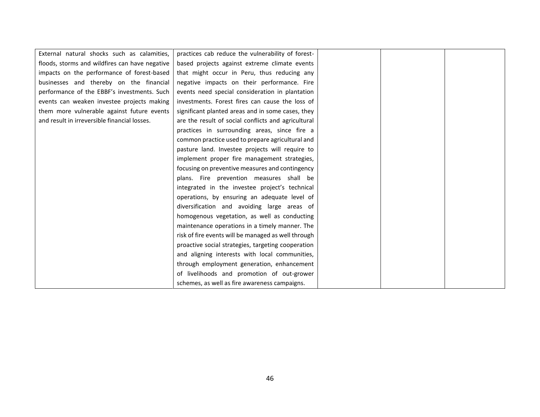| External natural shocks such as calamities,    | practices cab reduce the vulnerability of forest-   |  |  |
|------------------------------------------------|-----------------------------------------------------|--|--|
| floods, storms and wildfires can have negative | based projects against extreme climate events       |  |  |
| impacts on the performance of forest-based     | that might occur in Peru, thus reducing any         |  |  |
| businesses and thereby on the financial        | negative impacts on their performance. Fire         |  |  |
| performance of the EBBF's investments. Such    | events need special consideration in plantation     |  |  |
| events can weaken investee projects making     | investments. Forest fires can cause the loss of     |  |  |
| them more vulnerable against future events     | significant planted areas and in some cases, they   |  |  |
| and result in irreversible financial losses.   | are the result of social conflicts and agricultural |  |  |
|                                                | practices in surrounding areas, since fire a        |  |  |
|                                                | common practice used to prepare agricultural and    |  |  |
|                                                | pasture land. Investee projects will require to     |  |  |
|                                                | implement proper fire management strategies,        |  |  |
|                                                | focusing on preventive measures and contingency     |  |  |
|                                                | plans. Fire prevention measures shall be            |  |  |
|                                                | integrated in the investee project's technical      |  |  |
|                                                | operations, by ensuring an adequate level of        |  |  |
|                                                | diversification and avoiding large areas of         |  |  |
|                                                | homogenous vegetation, as well as conducting        |  |  |
|                                                | maintenance operations in a timely manner. The      |  |  |
|                                                | risk of fire events will be managed as well through |  |  |
|                                                | proactive social strategies, targeting cooperation  |  |  |
|                                                | and aligning interests with local communities,      |  |  |
|                                                | through employment generation, enhancement          |  |  |
|                                                | of livelihoods and promotion of out-grower          |  |  |
|                                                | schemes, as well as fire awareness campaigns.       |  |  |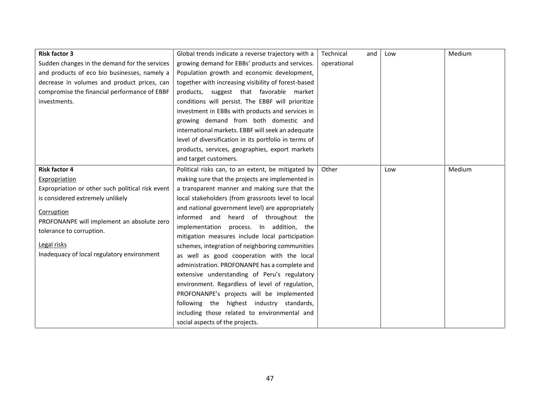| <b>Risk factor 3</b>                             | Global trends indicate a reverse trajectory with a    | Technical<br>and | Low | Medium |
|--------------------------------------------------|-------------------------------------------------------|------------------|-----|--------|
| Sudden changes in the demand for the services    | growing demand for EBBs' products and services.       | operational      |     |        |
| and products of eco bio businesses, namely a     | Population growth and economic development,           |                  |     |        |
| decrease in volumes and product prices, can      | together with increasing visibility of forest-based   |                  |     |        |
| compromise the financial performance of EBBF     | products, suggest that favorable market               |                  |     |        |
| investments.                                     | conditions will persist. The EBBF will prioritize     |                  |     |        |
|                                                  | investment in EBBs with products and services in      |                  |     |        |
|                                                  | growing demand from both domestic and                 |                  |     |        |
|                                                  | international markets. EBBF will seek an adequate     |                  |     |        |
|                                                  | level of diversification in its portfolio in terms of |                  |     |        |
|                                                  | products, services, geographies, export markets       |                  |     |        |
|                                                  | and target customers.                                 |                  |     |        |
| <b>Risk factor 4</b>                             | Political risks can, to an extent, be mitigated by    | Other            | Low | Medium |
| Expropriation                                    | making sure that the projects are implemented in      |                  |     |        |
| Expropriation or other such political risk event | a transparent manner and making sure that the         |                  |     |        |
| is considered extremely unlikely                 | local stakeholders (from grassroots level to local    |                  |     |        |
| Corruption                                       | and national government level) are appropriately      |                  |     |        |
| PROFONANPE will implement an absolute zero       | informed and heard of throughout the                  |                  |     |        |
| tolerance to corruption.                         | implementation process. In addition, the              |                  |     |        |
|                                                  | mitigation measures include local participation       |                  |     |        |
| Legal risks                                      | schemes, integration of neighboring communities       |                  |     |        |
| Inadequacy of local regulatory environment       | as well as good cooperation with the local            |                  |     |        |
|                                                  | administration. PROFONANPE has a complete and         |                  |     |        |
|                                                  | extensive understanding of Peru's regulatory          |                  |     |        |
|                                                  | environment. Regardless of level of regulation,       |                  |     |        |
|                                                  | PROFONANPE's projects will be implemented             |                  |     |        |
|                                                  | following the highest industry standards,             |                  |     |        |
|                                                  | including those related to environmental and          |                  |     |        |
|                                                  | social aspects of the projects.                       |                  |     |        |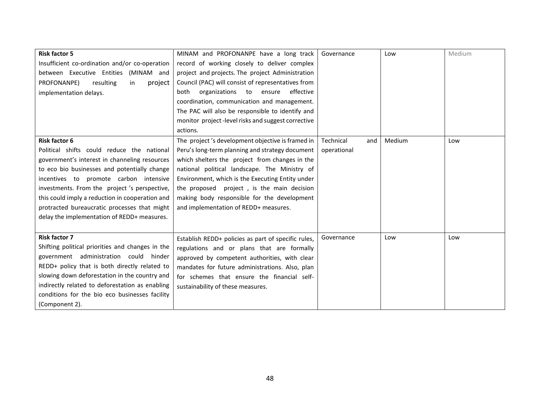| <b>Risk factor 5</b>                             | MINAM and PROFONANPE have a long track              | Governance       | Low    | Medium |
|--------------------------------------------------|-----------------------------------------------------|------------------|--------|--------|
| Insufficient co-ordination and/or co-operation   | record of working closely to deliver complex        |                  |        |        |
| between Executive Entities (MINAM and            | project and projects. The project Administration    |                  |        |        |
| PROFONANPE)<br>resulting<br>project<br>in        | Council (PAC) will consist of representatives from  |                  |        |        |
| implementation delays.                           | effective<br>both<br>organizations to ensure        |                  |        |        |
|                                                  | coordination, communication and management.         |                  |        |        |
|                                                  | The PAC will also be responsible to identify and    |                  |        |        |
|                                                  | monitor project-level risks and suggest corrective  |                  |        |        |
|                                                  | actions.                                            |                  |        |        |
| <b>Risk factor 6</b>                             | The project's development objective is framed in    | Technical<br>and | Medium | Low    |
| Political shifts could reduce the national       | Peru's long-term planning and strategy document     | operational      |        |        |
| government's interest in channeling resources    | which shelters the project from changes in the      |                  |        |        |
| to eco bio businesses and potentially change     | national political landscape. The Ministry of       |                  |        |        |
| incentives to promote carbon intensive           | Environment, which is the Executing Entity under    |                  |        |        |
| investments. From the project 's perspective,    | the proposed project, is the main decision          |                  |        |        |
| this could imply a reduction in cooperation and  | making body responsible for the development         |                  |        |        |
| protracted bureaucratic processes that might     | and implementation of REDD+ measures.               |                  |        |        |
| delay the implementation of REDD+ measures.      |                                                     |                  |        |        |
|                                                  |                                                     |                  |        |        |
| <b>Risk factor 7</b>                             | Establish REDD+ policies as part of specific rules, | Governance       | Low    | Low    |
| Shifting political priorities and changes in the | regulations and or plans that are formally          |                  |        |        |
| government administration could hinder           | approved by competent authorities, with clear       |                  |        |        |
| REDD+ policy that is both directly related to    | mandates for future administrations. Also, plan     |                  |        |        |
| slowing down deforestation in the country and    | for schemes that ensure the financial self-         |                  |        |        |
| indirectly related to deforestation as enabling  | sustainability of these measures.                   |                  |        |        |
| conditions for the bio eco businesses facility   |                                                     |                  |        |        |
| (Component 2).                                   |                                                     |                  |        |        |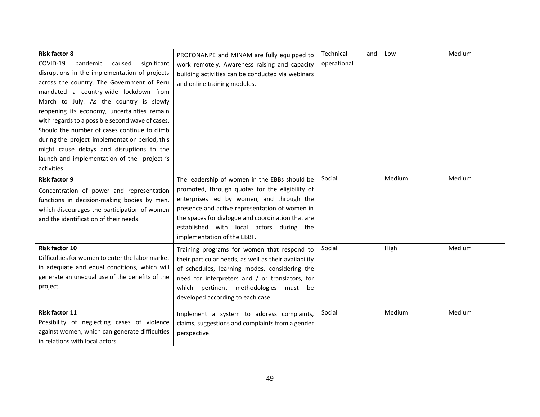| <b>Risk factor 8</b><br>COVID-19<br>significant<br>pandemic<br>caused<br>disruptions in the implementation of projects<br>across the country. The Government of Peru<br>mandated a country-wide lockdown from<br>March to July. As the country is slowly<br>reopening its economy, uncertainties remain<br>with regards to a possible second wave of cases.<br>Should the number of cases continue to climb<br>during the project implementation period, this<br>might cause delays and disruptions to the<br>launch and implementation of the project's | PROFONANPE and MINAM are fully equipped to<br>work remotely. Awareness raising and capacity<br>building activities can be conducted via webinars<br>and online training modules.                                                                                                                                                | Technical<br>operational | and<br>Low | Medium |
|----------------------------------------------------------------------------------------------------------------------------------------------------------------------------------------------------------------------------------------------------------------------------------------------------------------------------------------------------------------------------------------------------------------------------------------------------------------------------------------------------------------------------------------------------------|---------------------------------------------------------------------------------------------------------------------------------------------------------------------------------------------------------------------------------------------------------------------------------------------------------------------------------|--------------------------|------------|--------|
| activities.<br><b>Risk factor 9</b><br>Concentration of power and representation<br>functions in decision-making bodies by men,<br>which discourages the participation of women<br>and the identification of their needs.                                                                                                                                                                                                                                                                                                                                | The leadership of women in the EBBs should be<br>promoted, through quotas for the eligibility of<br>enterprises led by women, and through the<br>presence and active representation of women in<br>the spaces for dialogue and coordination that are<br>established with local actors during the<br>implementation of the EBBF. | Social                   | Medium     | Medium |
| <b>Risk factor 10</b><br>Difficulties for women to enter the labor market<br>in adequate and equal conditions, which will<br>generate an unequal use of the benefits of the<br>project.                                                                                                                                                                                                                                                                                                                                                                  | Training programs for women that respond to<br>their particular needs, as well as their availability<br>of schedules, learning modes, considering the<br>need for interpreters and / or translators, for<br>which pertinent methodologies<br>must be<br>developed according to each case.                                       | Social                   | High       | Medium |
| Risk factor 11<br>Possibility of neglecting cases of violence<br>against women, which can generate difficulties<br>in relations with local actors.                                                                                                                                                                                                                                                                                                                                                                                                       | Implement a system to address complaints,<br>claims, suggestions and complaints from a gender<br>perspective.                                                                                                                                                                                                                   | Social                   | Medium     | Medium |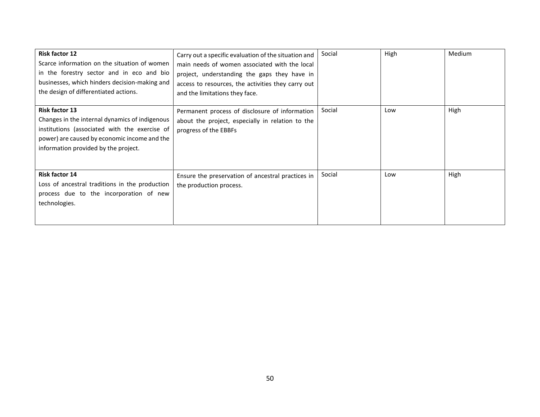| <b>Risk factor 12</b><br>Scarce information on the situation of women<br>in the forestry sector and in eco and bio<br>businesses, which hinders decision-making and<br>the design of differentiated actions.     | Carry out a specific evaluation of the situation and<br>main needs of women associated with the local<br>project, understanding the gaps they have in<br>access to resources, the activities they carry out<br>and the limitations they face. | Social | High | Medium |
|------------------------------------------------------------------------------------------------------------------------------------------------------------------------------------------------------------------|-----------------------------------------------------------------------------------------------------------------------------------------------------------------------------------------------------------------------------------------------|--------|------|--------|
| <b>Risk factor 13</b><br>Changes in the internal dynamics of indigenous<br>institutions (associated with the exercise of<br>power) are caused by economic income and the<br>information provided by the project. | Permanent process of disclosure of information<br>about the project, especially in relation to the<br>progress of the EBBFs                                                                                                                   | Social | Low  | High   |
| Risk factor 14<br>Loss of ancestral traditions in the production<br>process due to the incorporation of new<br>technologies.                                                                                     | Ensure the preservation of ancestral practices in<br>the production process.                                                                                                                                                                  | Social | Low  | High   |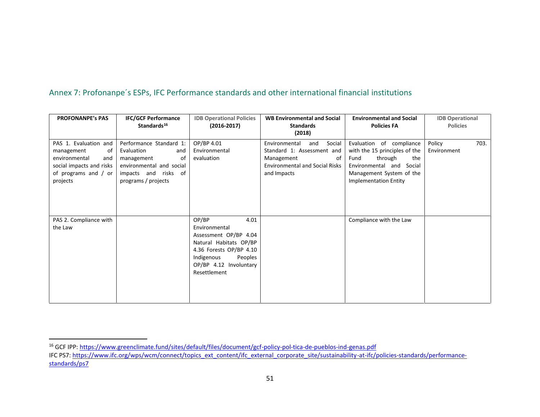# Annex 7: Profonanpe´s ESPs, IFC Performance standards and other international financial institutions

| <b>PROFONANPE's PAS</b>                                                                                                           | <b>IFC/GCF Performance</b><br>Standards <sup>16</sup>                                                                                       | <b>IDB Operational Policies</b><br>$(2016 - 2017)$                                                                                                                              | <b>WB Environmental and Social</b><br><b>Standards</b><br>(2018)                                                                         | <b>Environmental and Social</b><br><b>Policies FA</b>                                                                                                                          | <b>IDB Operational</b><br><b>Policies</b> |  |  |
|-----------------------------------------------------------------------------------------------------------------------------------|---------------------------------------------------------------------------------------------------------------------------------------------|---------------------------------------------------------------------------------------------------------------------------------------------------------------------------------|------------------------------------------------------------------------------------------------------------------------------------------|--------------------------------------------------------------------------------------------------------------------------------------------------------------------------------|-------------------------------------------|--|--|
| PAS 1. Evaluation and<br>management<br>of<br>environmental<br>and<br>social impacts and risks<br>of programs and / or<br>projects | Performance Standard 1:<br>Evaluation<br>and<br>management<br>0f<br>environmental and social<br>impacts and risks of<br>programs / projects | OP/BP 4.01<br>Environmental<br>evaluation                                                                                                                                       | Environmental<br>and<br>Social<br>Standard 1: Assessment and<br>Management<br>of<br><b>Environmental and Social Risks</b><br>and Impacts | Evaluation of compliance<br>with the 15 principles of the<br>through<br>Fund<br>the<br>Environmental and<br>Social<br>Management System of the<br><b>Implementation Entity</b> | 703.<br>Policy<br>Environment             |  |  |
| PAS 2. Compliance with<br>the Law                                                                                                 |                                                                                                                                             | OP/BP<br>4.01<br>Environmental<br>Assessment OP/BP 4.04<br>Natural Habitats OP/BP<br>4.36 Forests OP/BP 4.10<br>Indigenous<br>Peoples<br>OP/BP 4.12 Involuntary<br>Resettlement |                                                                                                                                          | Compliance with the Law                                                                                                                                                        |                                           |  |  |

<sup>16</sup> GCF IPP: https://www.greenclimate.fund/sites/default/files/document/gcf-policy-pol-tica-de-pueblos-ind-genas.pdf

IFC PS7: https://www.ifc.org/wps/wcm/connect/topics\_ext\_content/ifc\_external\_corporate\_site/sustainability-at-ifc/policies-standards/performance standards/ps7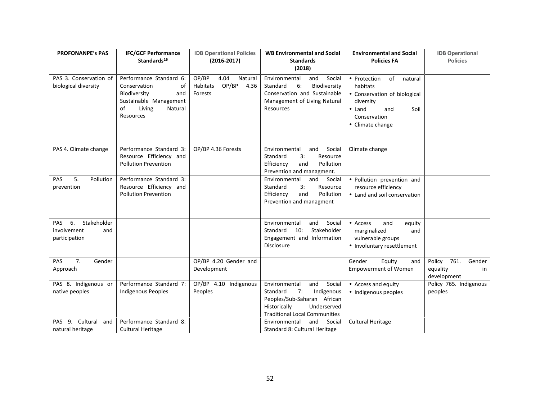| <b>PROFONANPE's PAS</b>                                         | <b>IFC/GCF Performance</b><br>Standards <sup>16</sup>                                                                                  | <b>IDB Operational Policies</b><br>$(2016 - 2017)$               | <b>WB Environmental and Social</b><br><b>Standards</b><br>(2018)                                                                                                     | <b>Environmental and Social</b><br><b>Policies FA</b>                                                                                       | <b>IDB</b> Operational<br><b>Policies</b>                 |
|-----------------------------------------------------------------|----------------------------------------------------------------------------------------------------------------------------------------|------------------------------------------------------------------|----------------------------------------------------------------------------------------------------------------------------------------------------------------------|---------------------------------------------------------------------------------------------------------------------------------------------|-----------------------------------------------------------|
| PAS 3. Conservation of<br>biological diversity                  | Performance Standard 6:<br>Conservation<br>οf<br>Biodiversity<br>and<br>Sustainable Management<br>of<br>Living<br>Natural<br>Resources | OP/BP<br>4.04<br>Natural<br>OP/BP<br>Habitats<br>4.36<br>Forests | and<br>Social<br>Environmental<br>Standard<br>6:<br>Biodiversity<br>Conservation and Sustainable<br>Management of Living Natural<br>Resources                        | of<br>Protection<br>natural<br>habitats<br>Conservation of biological<br>diversity<br>Land<br>Soil<br>and<br>Conservation<br>Climate change |                                                           |
| PAS 4. Climate change                                           | Performance Standard 3:<br>Resource Efficiency and<br><b>Pollution Prevention</b>                                                      | OP/BP 4.36 Forests                                               | Environmental<br>and<br>Social<br>Standard<br>Resource<br>3:<br>Pollution<br>Efficiency<br>and<br>Prevention and managment.                                          | Climate change                                                                                                                              |                                                           |
| 5.<br>Pollution<br><b>PAS</b><br>prevention                     | Performance Standard 3:<br>Resource Efficiency and<br><b>Pollution Prevention</b>                                                      |                                                                  | Social<br>Environmental<br>and<br>Standard<br>Resource<br>3:<br>Pollution<br>Efficiency<br>and<br>Prevention and managment                                           | Pollution prevention and<br>resource efficiency<br>Land and soil conservation                                                               |                                                           |
| Stakeholder<br>6.<br>PAS<br>involvement<br>and<br>participation |                                                                                                                                        |                                                                  | Social<br>Environmental<br>and<br>Standard 10:<br>Stakeholder<br>Engagement and Information<br>Disclosure                                                            | Access<br>and<br>equity<br>marginalized<br>and<br>vulnerable groups<br>Involuntary resettlement                                             |                                                           |
| 7.<br>PAS<br>Gender<br>Approach                                 |                                                                                                                                        | OP/BP 4.20 Gender and<br>Development                             |                                                                                                                                                                      | Gender<br>Equity<br>and<br><b>Empowerment of Women</b>                                                                                      | 761.<br>Gender<br>Policy<br>equality<br>in<br>development |
| PAS 8. Indigenous or<br>native peoples                          | Performance Standard 7:<br><b>Indigenous Peoples</b>                                                                                   | OP/BP 4.10 Indigenous<br>Peoples                                 | Social<br>Environmental<br>and<br>Indigenous<br>Standard<br>7:<br>Peoples/Sub-Saharan African<br>Historically<br>Underserved<br><b>Traditional Local Communities</b> | Access and equity<br>Indigenous peoples                                                                                                     | Policy 765. Indigenous<br>peoples                         |
| PAS 9. Cultural<br>and<br>natural heritage                      | Performance Standard 8:<br>Cultural Heritage                                                                                           |                                                                  | Environmental<br>and<br>Social<br>Standard 8: Cultural Heritage                                                                                                      | <b>Cultural Heritage</b>                                                                                                                    |                                                           |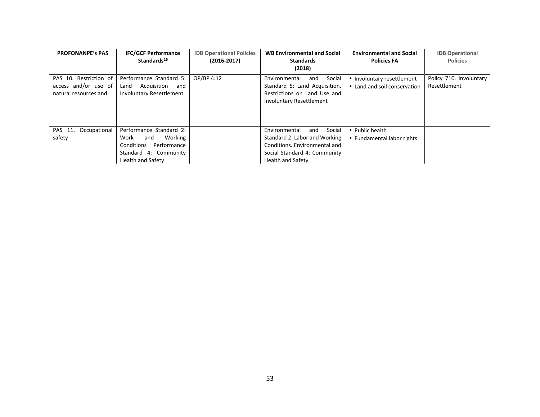| <b>PROFONANPE's PAS</b>                                                 | <b>IFC/GCF Performance</b><br>Standards <sup>16</sup>                                                                        | <b>IDB Operational Policies</b><br>$(2016 - 2017)$ | <b>WB Environmental and Social</b><br><b>Standards</b><br>(2018)                                                                                             | <b>Environmental and Social</b><br><b>Policies FA</b>  | <b>IDB</b> Operational<br><b>Policies</b> |
|-------------------------------------------------------------------------|------------------------------------------------------------------------------------------------------------------------------|----------------------------------------------------|--------------------------------------------------------------------------------------------------------------------------------------------------------------|--------------------------------------------------------|-------------------------------------------|
| PAS 10. Restriction of<br>access and/or use of<br>natural resources and | Performance Standard 5:<br>Acquisition<br>Land<br>and<br><b>Involuntary Resettlement</b>                                     | OP/BP 4.12                                         | Social<br>Environmental<br>and<br>Standard 5: Land Acquisition,<br>Restrictions on Land Use and<br><b>Involuntary Resettlement</b>                           | Involuntary resettlement<br>Land and soil conservation | Policy 710. Involuntary<br>Resettlement   |
| Occupational<br>PAS 11.<br>safety                                       | Performance Standard 2:<br>Working<br>Work<br>and<br>Conditions<br>Performance<br>Standard 4: Community<br>Health and Safety |                                                    | Social<br>Environmental<br>and<br>Standard 2: Labor and Working<br>Conditions. Environmental and<br>Social Standard 4: Community<br><b>Health and Safety</b> | Public health<br>Fundamental labor rights              |                                           |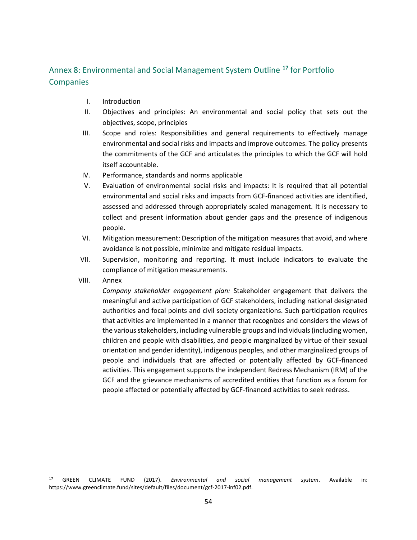# Annex 8: Environmental and Social Management System Outline **<sup>17</sup>** for Portfolio **Companies**

- I. Introduction
- II. Objectives and principles: An environmental and social policy that sets out the objectives, scope, principles
- III. Scope and roles: Responsibilities and general requirements to effectively manage environmental and social risks and impacts and improve outcomes. The policy presents the commitments of the GCF and articulates the principles to which the GCF will hold itself accountable.
- IV. Performance, standards and norms applicable
- V. Evaluation of environmental social risks and impacts: It is required that all potential environmental and social risks and impacts from GCF-financed activities are identified, assessed and addressed through appropriately scaled management. It is necessary to collect and present information about gender gaps and the presence of indigenous people.
- VI. Mitigation measurement: Description of the mitigation measures that avoid, and where avoidance is not possible, minimize and mitigate residual impacts.
- VII. Supervision, monitoring and reporting. It must include indicators to evaluate the compliance of mitigation measurements.
- VIII. Annex

*Company stakeholder engagement plan:* Stakeholder engagement that delivers the meaningful and active participation of GCF stakeholders, including national designated authorities and focal points and civil society organizations. Such participation requires that activities are implemented in a manner that recognizes and considers the views of the various stakeholders, including vulnerable groups and individuals (including women, children and people with disabilities, and people marginalized by virtue of their sexual orientation and gender identity), indigenous peoples, and other marginalized groups of people and individuals that are affected or potentially affected by GCF-financed activities. This engagement supports the independent Redress Mechanism (IRM) of the GCF and the grievance mechanisms of accredited entities that function as a forum for people affected or potentially affected by GCF-financed activities to seek redress.

<sup>17</sup> GREEN CLIMATE FUND (2017). *Environmental and social management system*. Available in: https://www.greenclimate.fund/sites/default/files/document/gcf-2017-inf02.pdf.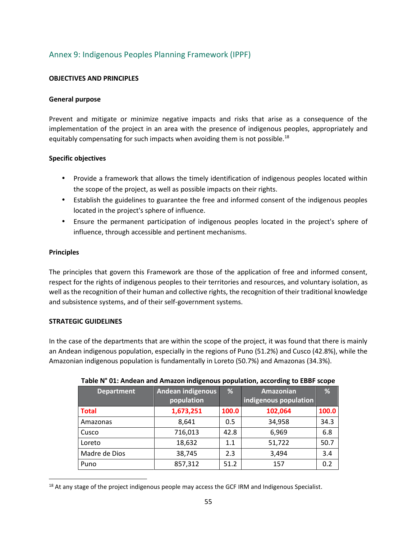# Annex 9: Indigenous Peoples Planning Framework (IPPF)

#### **OBJECTIVES AND PRINCIPLES**

#### **General purpose**

Prevent and mitigate or minimize negative impacts and risks that arise as a consequence of the implementation of the project in an area with the presence of indigenous peoples, appropriately and equitably compensating for such impacts when avoiding them is not possible.<sup>18</sup>

#### **Specific objectives**

- Provide a framework that allows the timely identification of indigenous peoples located within the scope of the project, as well as possible impacts on their rights.
- Establish the guidelines to guarantee the free and informed consent of the indigenous peoples located in the project's sphere of influence.
- Ensure the permanent participation of indigenous peoples located in the project's sphere of influence, through accessible and pertinent mechanisms.

#### **Principles**

The principles that govern this Framework are those of the application of free and informed consent, respect for the rights of indigenous peoples to their territories and resources, and voluntary isolation, as well as the recognition of their human and collective rights, the recognition of their traditional knowledge and subsistence systems, and of their self-government systems.

#### **STRATEGIC GUIDELINES**

In the case of the departments that are within the scope of the project, it was found that there is mainly an Andean indigenous population, especially in the regions of Puno (51.2%) and Cusco (42.8%), while the Amazonian indigenous population is fundamentally in Loreto (50.7%) and Amazonas (34.3%).

| <b>Department</b> | <b>Andean indigenous</b> | %     | <b>Amazonian</b>      | %     |  |
|-------------------|--------------------------|-------|-----------------------|-------|--|
|                   | population               |       | indigenous population |       |  |
| <b>Total</b>      | 1,673,251                | 100.0 | 102,064               | 100.0 |  |
| Amazonas          | 8,641                    | 0.5   | 34,958                | 34.3  |  |
| Cusco             | 716,013                  | 42.8  | 6,969                 | 6.8   |  |
| Loreto            | 18,632                   | 1.1   | 51,722                | 50.7  |  |
| Madre de Dios     | 38,745                   | 2.3   | 3,494                 | 3.4   |  |
| Puno              | 857,312                  | 51.2  | 157                   | 0.2   |  |

#### **Table N° 01: Andean and Amazon indigenous population, according to EBBF scope**

<sup>&</sup>lt;sup>18</sup> At any stage of the project indigenous people may access the GCF IRM and Indigenous Specialist.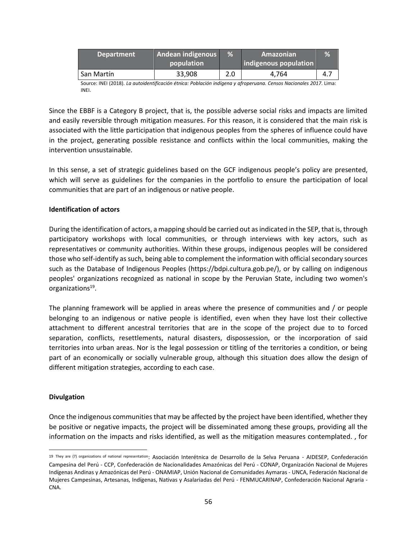| <b>Department</b> | Andean indigenous | $\%$       | Amazonian             | %   |
|-------------------|-------------------|------------|-----------------------|-----|
|                   | population        |            | indigenous population |     |
| San Martín        | 33,908            | ה ר<br>z.u | 4.764                 | 4.7 |

Source: INEI (2018). *La autoidentificación étnica: Población indígena y afroperuana. Censos Nacionales 2017*. Lima: INEI.

Since the EBBF is a Category B project, that is, the possible adverse social risks and impacts are limited and easily reversible through mitigation measures. For this reason, it is considered that the main risk is associated with the little participation that indigenous peoples from the spheres of influence could have in the project, generating possible resistance and conflicts within the local communities, making the intervention unsustainable.

In this sense, a set of strategic guidelines based on the GCF indigenous people's policy are presented, which will serve as guidelines for the companies in the portfolio to ensure the participation of local communities that are part of an indigenous or native people.

#### **Identification of actors**

During the identification of actors, a mapping should be carried out as indicated in the SEP, that is, through participatory workshops with local communities, or through interviews with key actors, such as representatives or community authorities. Within these groups, indigenous peoples will be considered those who self-identify as such, being able to complement the information with official secondary sources such as the Database of Indigenous Peoples (https://bdpi.cultura.gob.pe/), or by calling on indigenous peoples' organizations recognized as national in scope by the Peruvian State, including two women's organizations<sup>19</sup>.

The planning framework will be applied in areas where the presence of communities and / or people belonging to an indigenous or native people is identified, even when they have lost their collective attachment to different ancestral territories that are in the scope of the project due to to forced separation, conflicts, resettlements, natural disasters, dispossession, or the incorporation of said territories into urban areas. Nor is the legal possession or titling of the territories a condition, or being part of an economically or socially vulnerable group, although this situation does allow the design of different mitigation strategies, according to each case.

#### **Divulgation**

Once the indigenous communities that may be affected by the project have been identified, whether they be positive or negative impacts, the project will be disseminated among these groups, providing all the information on the impacts and risks identified, as well as the mitigation measures contemplated. , for

<sup>19</sup> They are (7) organizations of national representation: Asociación Interétnica de Desarrollo de la Selva Peruana - AIDESEP, Confederación Campesina del Perú - CCP, Confederación de Nacionalidades Amazónicas del Perú - CONAP, Organización Nacional de Mujeres Indígenas Andinas y Amazónicas del Perú - ONAMIAP, Unión Nacional de Comunidades Aymaras - UNCA, Federación Nacional de Mujeres Campesinas, Artesanas, Indígenas, Nativas y Asalariadas del Perú - FENMUCARINAP, Confederación Nacional Agraria - CNA.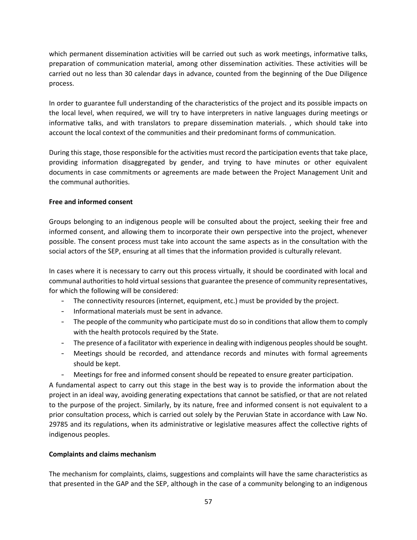which permanent dissemination activities will be carried out such as work meetings, informative talks, preparation of communication material, among other dissemination activities. These activities will be carried out no less than 30 calendar days in advance, counted from the beginning of the Due Diligence process.

In order to guarantee full understanding of the characteristics of the project and its possible impacts on the local level, when required, we will try to have interpreters in native languages during meetings or informative talks, and with translators to prepare dissemination materials. , which should take into account the local context of the communities and their predominant forms of communication.

During this stage, those responsible for the activities must record the participation events that take place, providing information disaggregated by gender, and trying to have minutes or other equivalent documents in case commitments or agreements are made between the Project Management Unit and the communal authorities.

#### **Free and informed consent**

Groups belonging to an indigenous people will be consulted about the project, seeking their free and informed consent, and allowing them to incorporate their own perspective into the project, whenever possible. The consent process must take into account the same aspects as in the consultation with the social actors of the SEP, ensuring at all times that the information provided is culturally relevant.

In cases where it is necessary to carry out this process virtually, it should be coordinated with local and communal authorities to hold virtual sessions that guarantee the presence of community representatives, for which the following will be considered:

- The connectivity resources (internet, equipment, etc.) must be provided by the project.
- Informational materials must be sent in advance.
- The people of the community who participate must do so in conditions that allow them to comply with the health protocols required by the State.
- The presence of a facilitator with experience in dealing with indigenous peoples should be sought.
- Meetings should be recorded, and attendance records and minutes with formal agreements should be kept.
- Meetings for free and informed consent should be repeated to ensure greater participation.

A fundamental aspect to carry out this stage in the best way is to provide the information about the project in an ideal way, avoiding generating expectations that cannot be satisfied, or that are not related to the purpose of the project. Similarly, by its nature, free and informed consent is not equivalent to a prior consultation process, which is carried out solely by the Peruvian State in accordance with Law No. 29785 and its regulations, when its administrative or legislative measures affect the collective rights of indigenous peoples.

## **Complaints and claims mechanism**

The mechanism for complaints, claims, suggestions and complaints will have the same characteristics as that presented in the GAP and the SEP, although in the case of a community belonging to an indigenous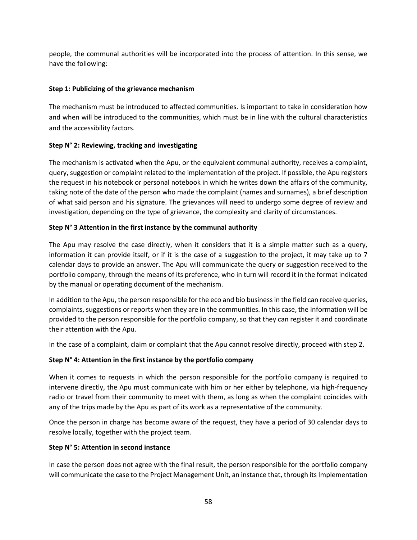people, the communal authorities will be incorporated into the process of attention. In this sense, we have the following:

#### **Step 1: Publicizing of the grievance mechanism**

The mechanism must be introduced to affected communities. Is important to take in consideration how and when will be introduced to the communities, which must be in line with the cultural characteristics and the accessibility factors.

#### **Step N° 2: Reviewing, tracking and investigating**

The mechanism is activated when the Apu, or the equivalent communal authority, receives a complaint, query, suggestion or complaint related to the implementation of the project. If possible, the Apu registers the request in his notebook or personal notebook in which he writes down the affairs of the community, taking note of the date of the person who made the complaint (names and surnames), a brief description of what said person and his signature. The grievances will need to undergo some degree of review and investigation, depending on the type of grievance, the complexity and clarity of circumstances.

#### **Step N° 3 Attention in the first instance by the communal authority**

The Apu may resolve the case directly, when it considers that it is a simple matter such as a query, information it can provide itself, or if it is the case of a suggestion to the project, it may take up to 7 calendar days to provide an answer. The Apu will communicate the query or suggestion received to the portfolio company, through the means of its preference, who in turn will record it in the format indicated by the manual or operating document of the mechanism.

In addition to the Apu, the person responsible for the eco and bio business in the field can receive queries, complaints, suggestions or reports when they are in the communities. In this case, the information will be provided to the person responsible for the portfolio company, so that they can register it and coordinate their attention with the Apu.

In the case of a complaint, claim or complaint that the Apu cannot resolve directly, proceed with step 2.

## **Step N° 4: Attention in the first instance by the portfolio company**

When it comes to requests in which the person responsible for the portfolio company is required to intervene directly, the Apu must communicate with him or her either by telephone, via high-frequency radio or travel from their community to meet with them, as long as when the complaint coincides with any of the trips made by the Apu as part of its work as a representative of the community.

Once the person in charge has become aware of the request, they have a period of 30 calendar days to resolve locally, together with the project team.

#### **Step N° 5: Attention in second instance**

In case the person does not agree with the final result, the person responsible for the portfolio company will communicate the case to the Project Management Unit, an instance that, through its Implementation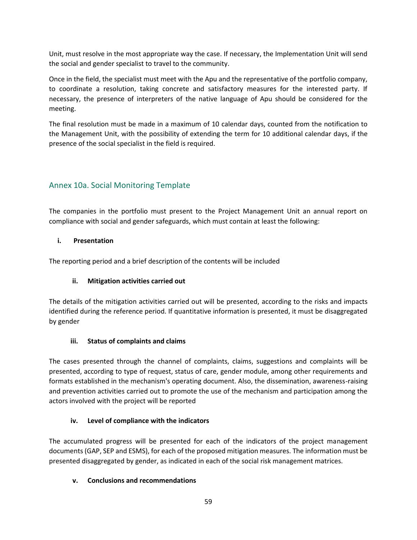Unit, must resolve in the most appropriate way the case. If necessary, the Implementation Unit will send the social and gender specialist to travel to the community.

Once in the field, the specialist must meet with the Apu and the representative of the portfolio company, to coordinate a resolution, taking concrete and satisfactory measures for the interested party. If necessary, the presence of interpreters of the native language of Apu should be considered for the meeting.

The final resolution must be made in a maximum of 10 calendar days, counted from the notification to the Management Unit, with the possibility of extending the term for 10 additional calendar days, if the presence of the social specialist in the field is required.

# Annex 10a. Social Monitoring Template

The companies in the portfolio must present to the Project Management Unit an annual report on compliance with social and gender safeguards, which must contain at least the following:

## **i. Presentation**

The reporting period and a brief description of the contents will be included

## **ii. Mitigation activities carried out**

The details of the mitigation activities carried out will be presented, according to the risks and impacts identified during the reference period. If quantitative information is presented, it must be disaggregated by gender

## **iii. Status of complaints and claims**

The cases presented through the channel of complaints, claims, suggestions and complaints will be presented, according to type of request, status of care, gender module, among other requirements and formats established in the mechanism's operating document. Also, the dissemination, awareness-raising and prevention activities carried out to promote the use of the mechanism and participation among the actors involved with the project will be reported

## **iv. Level of compliance with the indicators**

The accumulated progress will be presented for each of the indicators of the project management documents (GAP, SEP and ESMS), for each of the proposed mitigation measures. The information must be presented disaggregated by gender, as indicated in each of the social risk management matrices.

## **v. Conclusions and recommendations**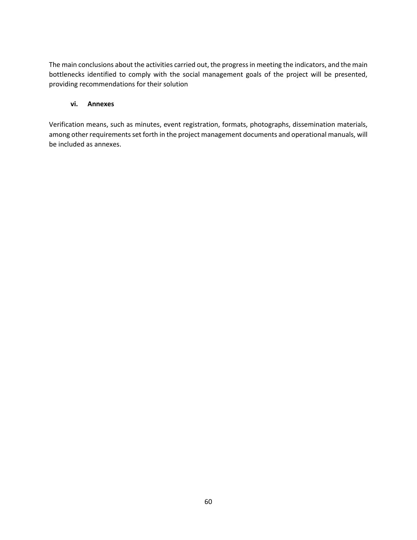The main conclusions about the activities carried out, the progress in meeting the indicators, and the main bottlenecks identified to comply with the social management goals of the project will be presented, providing recommendations for their solution

#### **vi. Annexes**

Verification means, such as minutes, event registration, formats, photographs, dissemination materials, among other requirements set forth in the project management documents and operational manuals, will be included as annexes.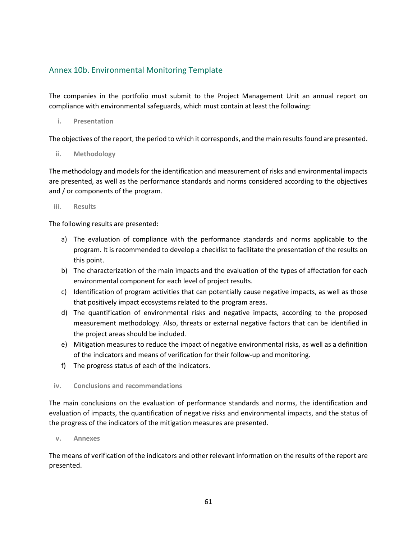# Annex 10b. Environmental Monitoring Template

The companies in the portfolio must submit to the Project Management Unit an annual report on compliance with environmental safeguards, which must contain at least the following:

**i. Presentation**

The objectives of the report, the period to which it corresponds, and the main results found are presented.

**ii. Methodology**

The methodology and models for the identification and measurement of risks and environmental impacts are presented, as well as the performance standards and norms considered according to the objectives and / or components of the program.

**iii. Results**

The following results are presented:

- a) The evaluation of compliance with the performance standards and norms applicable to the program. It is recommended to develop a checklist to facilitate the presentation of the results on this point.
- b) The characterization of the main impacts and the evaluation of the types of affectation for each environmental component for each level of project results.
- c) Identification of program activities that can potentially cause negative impacts, as well as those that positively impact ecosystems related to the program areas.
- d) The quantification of environmental risks and negative impacts, according to the proposed measurement methodology. Also, threats or external negative factors that can be identified in the project areas should be included.
- e) Mitigation measures to reduce the impact of negative environmental risks, as well as a definition of the indicators and means of verification for their follow-up and monitoring.
- f) The progress status of each of the indicators.

#### **iv. Conclusions and recommendations**

The main conclusions on the evaluation of performance standards and norms, the identification and evaluation of impacts, the quantification of negative risks and environmental impacts, and the status of the progress of the indicators of the mitigation measures are presented.

**v. Annexes**

The means of verification of the indicators and other relevant information on the results of the report are presented.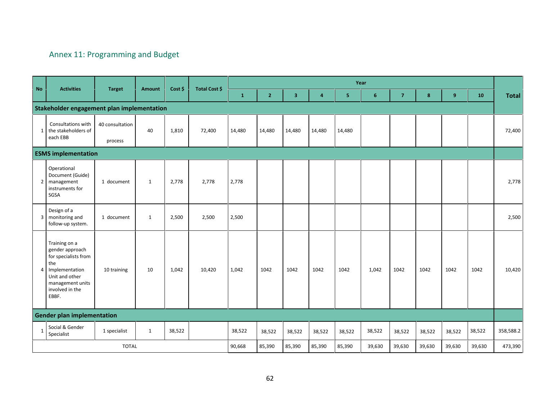# Annex 11: Programming and Budget

|                |                                                                                                                                                       | Year                       |               |         |               |              |                |                         |                |                |                |                |        |        |        |              |
|----------------|-------------------------------------------------------------------------------------------------------------------------------------------------------|----------------------------|---------------|---------|---------------|--------------|----------------|-------------------------|----------------|----------------|----------------|----------------|--------|--------|--------|--------------|
| N <sub>o</sub> | <b>Activities</b>                                                                                                                                     | <b>Target</b>              | <b>Amount</b> | Cost \$ | Total Cost \$ | $\mathbf{1}$ | $\overline{2}$ | $\overline{\mathbf{3}}$ | $\overline{4}$ | 5 <sub>1</sub> | $6\phantom{1}$ | $\overline{7}$ | 8      | 9      | 10     | <b>Total</b> |
|                | Stakeholder engagement plan implementation                                                                                                            |                            |               |         |               |              |                |                         |                |                |                |                |        |        |        |              |
| $1\vert$       | Consultations with<br>the stakeholders of<br>each EBB                                                                                                 | 40 consultation<br>process | 40            | 1,810   | 72,400        | 14,480       | 14,480         | 14,480                  | 14,480         | 14,480         |                |                |        |        |        | 72,400       |
|                | <b>ESMS implementation</b>                                                                                                                            |                            |               |         |               |              |                |                         |                |                |                |                |        |        |        |              |
| 2 <sub>1</sub> | Operational<br>Document (Guide)<br>management<br>instruments for<br>SGSA                                                                              | 1 document                 | $\mathbf{1}$  | 2,778   | 2,778         | 2,778        |                |                         |                |                |                |                |        |        |        | 2,778        |
|                | Design of a<br>3   monitoring and<br>follow-up system.                                                                                                | 1 document                 | $\mathbf{1}$  | 2,500   | 2,500         | 2,500        |                |                         |                |                |                |                |        |        |        | 2,500        |
|                | Training on a<br>gender approach<br>for specialists from<br>the<br>4 Implementation<br>Unit and other<br>management units<br>involved in the<br>EBBF. | 10 training                | 10            | 1,042   | 10,420        | 1,042        | 1042           | 1042                    | 1042           | 1042           | 1,042          | 1042           | 1042   | 1042   | 1042   | 10,420       |
|                | <b>Gender plan implementation</b>                                                                                                                     |                            |               |         |               |              |                |                         |                |                |                |                |        |        |        |              |
| 1              | Social & Gender<br>Specialist                                                                                                                         | 1 specialist               | $\mathbf{1}$  | 38,522  |               | 38,522       | 38,522         | 38,522                  | 38,522         | 38,522         | 38,522         | 38,522         | 38,522 | 38,522 | 38,522 | 358,588.2    |
| <b>TOTAL</b>   |                                                                                                                                                       |                            |               |         |               | 90,668       | 85,390         | 85,390                  | 85,390         | 85,390         | 39,630         | 39,630         | 39,630 | 39,630 | 39,630 | 473,390      |